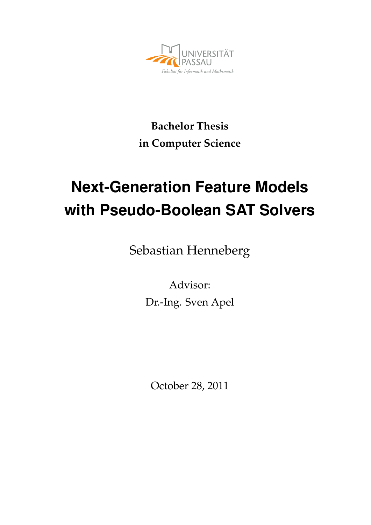

## **Bachelor Thesis in Computer Science**

# **Next-Generation Feature Models with Pseudo-Boolean SAT Solvers**

Sebastian Henneberg

Advisor: Dr.-Ing. Sven Apel

October 28, 2011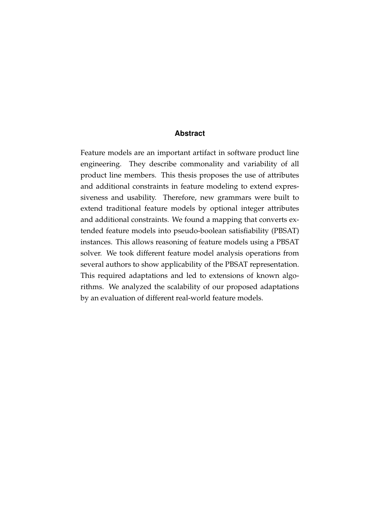#### **Abstract**

Feature models are an important artifact in software product line engineering. They describe commonality and variability of all product line members. This thesis proposes the use of attributes and additional constraints in feature modeling to extend expressiveness and usability. Therefore, new grammars were built to extend traditional feature models by optional integer attributes and additional constraints. We found a mapping that converts extended feature models into pseudo-boolean satisfiability (PBSAT) instances. This allows reasoning of feature models using a PBSAT solver. We took different feature model analysis operations from several authors to show applicability of the PBSAT representation. This required adaptations and led to extensions of known algorithms. We analyzed the scalability of our proposed adaptations by an evaluation of different real-world feature models.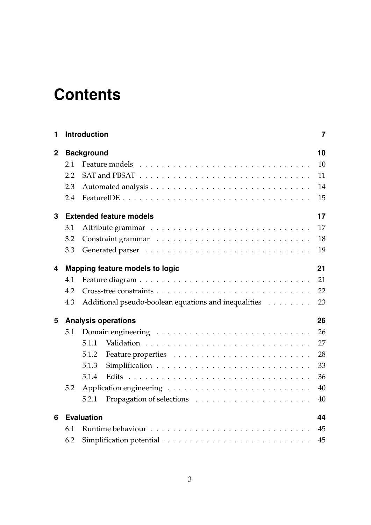# **Contents**

| 1              |                                       | <b>Introduction</b>                                  | $\overline{7}$ |  |  |  |  |  |  |
|----------------|---------------------------------------|------------------------------------------------------|----------------|--|--|--|--|--|--|
| $\overline{2}$ |                                       | <b>Background</b>                                    |                |  |  |  |  |  |  |
|                | 2.1                                   |                                                      | 10             |  |  |  |  |  |  |
|                | 2.2                                   |                                                      | 11             |  |  |  |  |  |  |
|                | 2.3                                   |                                                      | 14             |  |  |  |  |  |  |
|                | 2.4                                   |                                                      | 15             |  |  |  |  |  |  |
| 3              |                                       | <b>Extended feature models</b>                       | 17             |  |  |  |  |  |  |
|                | 3.1                                   |                                                      | 17             |  |  |  |  |  |  |
|                | 3.2                                   |                                                      | 18             |  |  |  |  |  |  |
|                | 3.3                                   |                                                      | 19             |  |  |  |  |  |  |
| 4              | 21<br>Mapping feature models to logic |                                                      |                |  |  |  |  |  |  |
|                | 4.1                                   |                                                      | 21             |  |  |  |  |  |  |
|                | 4.2                                   |                                                      | 22             |  |  |  |  |  |  |
|                | 4.3                                   | Additional pseudo-boolean equations and inequalities | 23             |  |  |  |  |  |  |
| 5              |                                       | <b>Analysis operations</b>                           | 26             |  |  |  |  |  |  |
|                | 5.1                                   |                                                      | 26             |  |  |  |  |  |  |
|                |                                       | 5.1.1                                                | 27             |  |  |  |  |  |  |
|                |                                       | 5.1.2                                                | 28             |  |  |  |  |  |  |
|                |                                       | 5.1.3                                                | 33             |  |  |  |  |  |  |
|                |                                       | 5.1.4                                                | 36             |  |  |  |  |  |  |
|                | 5.2                                   |                                                      | 40             |  |  |  |  |  |  |
|                |                                       | 5.2.1                                                | 40             |  |  |  |  |  |  |
| 6              |                                       | <b>Evaluation</b>                                    | 44             |  |  |  |  |  |  |
|                | 6.1                                   |                                                      | 45             |  |  |  |  |  |  |
|                | 6.2                                   |                                                      | 45             |  |  |  |  |  |  |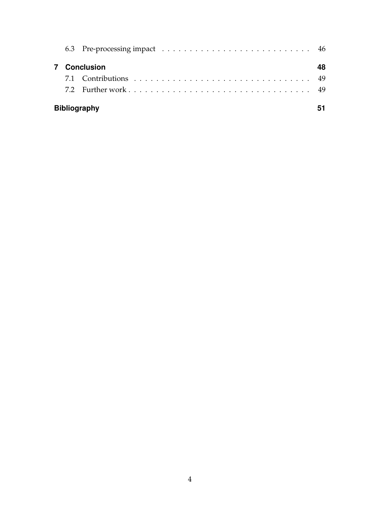|  | <b>7</b> Conclusion | 48 |
|--|---------------------|----|
|  |                     |    |
|  |                     |    |
|  | <b>Bibliography</b> |    |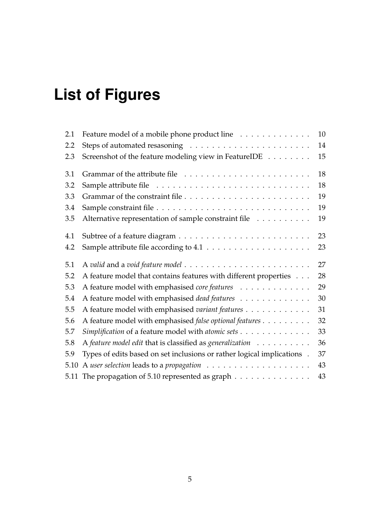# **List of Figures**

| 2.1  | Feature model of a mobile phone product line                            | 10 |
|------|-------------------------------------------------------------------------|----|
| 2.2  |                                                                         | 14 |
| 2.3  | Screenshot of the feature modeling view in FeatureIDE                   | 15 |
| 3.1  |                                                                         | 18 |
| 3.2  |                                                                         | 18 |
| 3.3  |                                                                         | 19 |
| 3.4  |                                                                         | 19 |
| 3.5  | Alternative representation of sample constraint file                    | 19 |
| 4.1  |                                                                         | 23 |
| 4.2  |                                                                         | 23 |
| 5.1  |                                                                         | 27 |
| 5.2  | A feature model that contains features with different properties        | 28 |
| 5.3  | A feature model with emphasised core features                           | 29 |
| 5.4  | A feature model with emphasised dead features                           | 30 |
| 5.5  | A feature model with emphasised variant features                        | 31 |
| 5.6  | A feature model with emphasised false optional features                 | 32 |
| 5.7  | Simplification of a feature model with atomic sets                      | 33 |
| 5.8  | A feature model edit that is classified as generalization               | 36 |
| 5.9  | Types of edits based on set inclusions or rather logical implications . | 37 |
| 5.10 |                                                                         | 43 |
| 5.11 | The propagation of 5.10 represented as graph                            | 43 |
|      |                                                                         |    |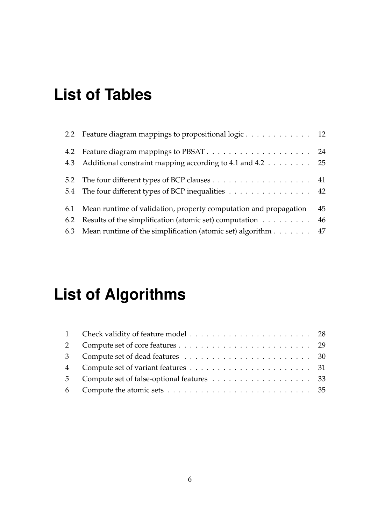## **List of Tables**

| 2.2 Feature diagram mappings to propositional logic 12                         |    |
|--------------------------------------------------------------------------------|----|
| 4.3 Additional constraint mapping according to 4.1 and 4.2 25                  |    |
| 5.4 The four different types of BCP inequalities 42                            |    |
| 6.1 Mean runtime of validation, property computation and propagation           | 45 |
| 6.2 Results of the simplification (atomic set) computation $\dots \dots \dots$ | 46 |
| 6.3 Mean runtime of the simplification (atomic set) algorithm 47               |    |

# **List of Algorithms**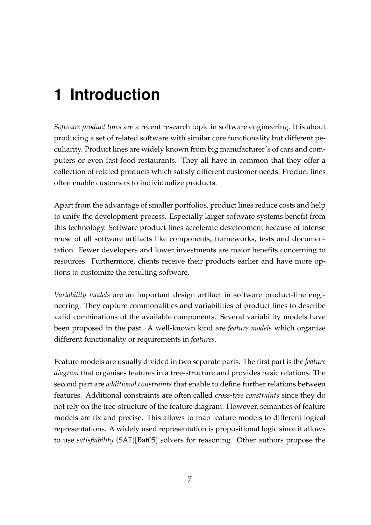## <span id="page-6-0"></span>**1 Introduction**

*Software product lines* are a recent research topic in software engineering. It is about producing a set of related software with similar core functionality but different peculiarity. Product lines are widely known from big manufacturer's of cars and computers or even fast-food restaurants. They all have in common that they offer a collection of related products which satisfy different customer needs. Product lines often enable customers to individualize products.

Apart from the advantage of smaller portfolios, product lines reduce costs and help to unify the development process. Especially larger software systems benefit from this technology. Software product lines accelerate development because of intense reuse of all software artifacts like components, frameworks, tests and documentation. Fewer developers and lower investments are major benefits concerning to resources. Furthermore, clients receive their products earlier and have more options to customize the resulting software.

*Variability models* are an important design artifact in software product-line engineering. They capture commonalities and variabilities of product lines to describe valid combinations of the available components. Several variability models have been proposed in the past. A well-known kind are *feature models* which organize different functionality or requirements in *features*.

Feature models are usually divided in two separate parts. The first part is the *feature diagram* that organises features in a tree-structure and provides basic relations. The second part are *additional constraints* that enable to define further relations between features. Additional constraints are often called *cross-tree constraints* since they do not rely on the tree-structure of the feature diagram. However, semantics of feature models are fix and precise. This allows to map feature models to different logical representations. A widely used representation is propositional logic since it allows to use *satisfiability* (SAT)[\[Bat05\]](#page-50-1) solvers for reasoning. Other authors propose the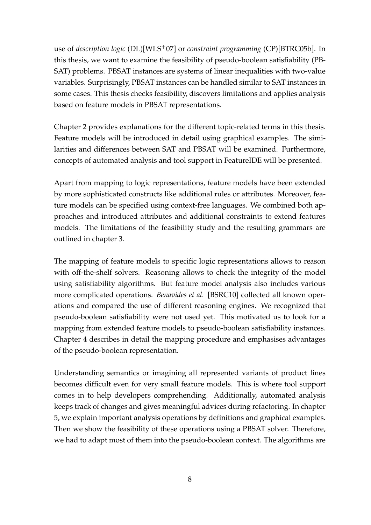use of *description logic* (DL)[\[WLS](#page-52-0)+07] or *constraint programming* (CP)[\[BTRC05b\]](#page-51-0). In this thesis, we want to examine the feasibility of pseudo-boolean satisfiability (PB-SAT) problems. PBSAT instances are systems of linear inequalities with two-value variables. Surprisingly, PBSAT instances can be handled similar to SAT instances in some cases. This thesis checks feasibility, discovers limitations and applies analysis based on feature models in PBSAT representations.

Chapter [2](#page-9-0) provides explanations for the different topic-related terms in this thesis. Feature models will be introduced in detail using graphical examples. The similarities and differences between SAT and PBSAT will be examined. Furthermore, concepts of automated analysis and tool support in FeatureIDE will be presented.

Apart from mapping to logic representations, feature models have been extended by more sophisticated constructs like additional rules or attributes. Moreover, feature models can be specified using context-free languages. We combined both approaches and introduced attributes and additional constraints to extend features models. The limitations of the feasibility study and the resulting grammars are outlined in chapter [3.](#page-16-0)

The mapping of feature models to specific logic representations allows to reason with off-the-shelf solvers. Reasoning allows to check the integrity of the model using satisfiability algorithms. But feature model analysis also includes various more complicated operations. *Benavides et al.* [\[BSRC10\]](#page-50-2) collected all known operations and compared the use of different reasoning engines. We recognized that pseudo-boolean satisfiability were not used yet. This motivated us to look for a mapping from extended feature models to pseudo-boolean satisfiability instances. Chapter [4](#page-20-0) describes in detail the mapping procedure and emphasises advantages of the pseudo-boolean representation.

Understanding semantics or imagining all represented variants of product lines becomes difficult even for very small feature models. This is where tool support comes in to help developers comprehending. Additionally, automated analysis keeps track of changes and gives meaningful advices during refactoring. In chapter [5,](#page-25-0) we explain important analysis operations by definitions and graphical examples. Then we show the feasibility of these operations using a PBSAT solver. Therefore, we had to adapt most of them into the pseudo-boolean context. The algorithms are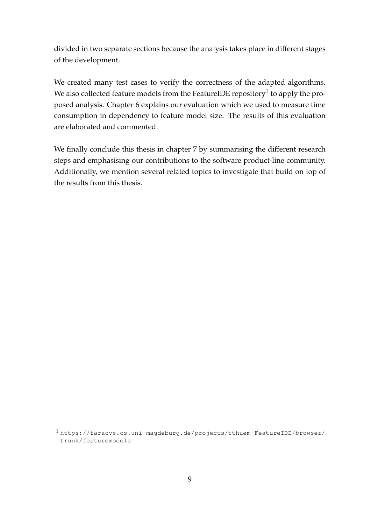divided in two separate sections because the analysis takes place in different stages of the development.

We created many test cases to verify the correctness of the adapted algorithms. We also collected feature models from the FeatureIDE repository $^1$  $^1$  to apply the proposed analysis. Chapter [6](#page-43-0) explains our evaluation which we used to measure time consumption in dependency to feature model size. The results of this evaluation are elaborated and commented.

We finally conclude this thesis in chapter [7](#page-47-0) by summarising the different research steps and emphasising our contributions to the software product-line community. Additionally, we mention several related topics to investigate that build on top of the results from this thesis.

<span id="page-8-0"></span><sup>1</sup> [https://faracvs.cs.uni-magdeburg.de/projects/tthuem-FeatureIDE/browser/](https://faracvs.cs.uni-magdeburg.de/projects/tthuem-FeatureIDE/browser/trunk/featuremodels) [trunk/featuremodels](https://faracvs.cs.uni-magdeburg.de/projects/tthuem-FeatureIDE/browser/trunk/featuremodels)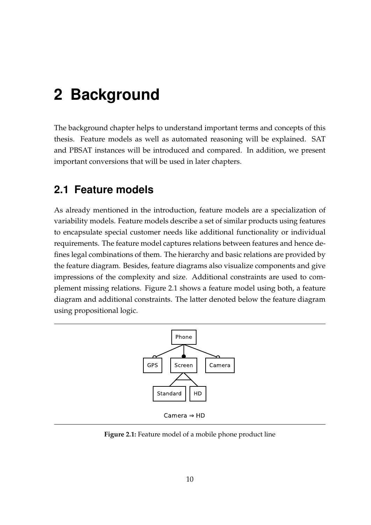## <span id="page-9-0"></span>**2 Background**

The background chapter helps to understand important terms and concepts of this thesis. Feature models as well as automated reasoning will be explained. SAT and PBSAT instances will be introduced and compared. In addition, we present important conversions that will be used in later chapters.

### <span id="page-9-1"></span>**2.1 Feature models**

As already mentioned in the introduction, feature models are a specialization of variability models. Feature models describe a set of similar products using features to encapsulate special customer needs like additional functionality or individual requirements. The feature model captures relations between features and hence defines legal combinations of them. The hierarchy and basic relations are provided by the feature diagram. Besides, feature diagrams also visualize components and give impressions of the complexity and size. Additional constraints are used to complement missing relations. Figure [2.1](#page-9-2) shows a feature model using both, a feature diagram and additional constraints. The latter denoted below the feature diagram using propositional logic.

<span id="page-9-2"></span>

**Figure 2.1:** Feature model of a mobile phone product line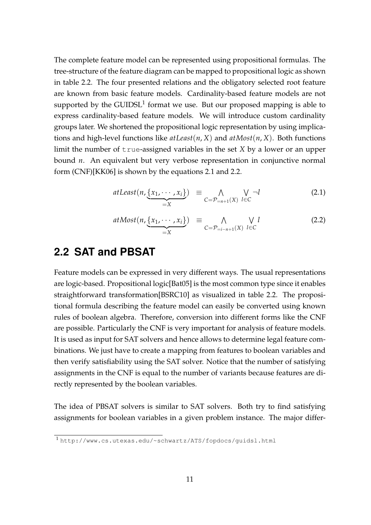The complete feature model can be represented using propositional formulas. The tree-structure of the feature diagram can be mapped to propositional logic as shown in table [2.2.](#page-11-0) The four presented relations and the obligatory selected root feature are known from basic feature models. Cardinality-based feature models are not supported by the GUIDSL<sup>[1](#page-10-1)</sup> format we use. But our proposed mapping is able to express cardinality-based feature models. We will introduce custom cardinality groups later. We shortened the propositional logic representation by using implications and high-level functions like *atLeast*(*n*, *X*) and *atMost*(*n*, *X*). Both functions limit the number of true-assigned variables in the set *X* by a lower or an upper bound *n*. An equivalent but very verbose representation in conjunctive normal form (CNF)[\[KK06\]](#page-51-1) is shown by the equations [2.1](#page-10-2) and [2.2.](#page-10-2)

<span id="page-10-2"></span>
$$
atLeast(n,\underbrace{\{x_1,\cdots,x_i\}}_{=X}) \equiv \bigwedge_{C=\mathcal{P}_{=n+1}(X)} \bigvee_{l\in C} \neg l \tag{2.1}
$$

$$
atMost(n, \underbrace{\{x_1, \cdots, x_i\}}_{=X}) \equiv \bigwedge_{C=\mathcal{P}_{=i-n+1}(X)} \bigvee_{l \in C} l \tag{2.2}
$$

### <span id="page-10-0"></span>**2.2 SAT and PBSAT**

Feature models can be expressed in very different ways. The usual representations are logic-based. Propositional logic[\[Bat05\]](#page-50-1) is the most common type since it enables straightforward transformation[\[BSRC10\]](#page-50-2) as visualized in table [2.2.](#page-11-0) The propositional formula describing the feature model can easily be converted using known rules of boolean algebra. Therefore, conversion into different forms like the CNF are possible. Particularly the CNF is very important for analysis of feature models. It is used as input for SAT solvers and hence allows to determine legal feature combinations. We just have to create a mapping from features to boolean variables and then verify satisfiability using the SAT solver. Notice that the number of satisfying assignments in the CNF is equal to the number of variants because features are directly represented by the boolean variables.

The idea of PBSAT solvers is similar to SAT solvers. Both try to find satisfying assignments for boolean variables in a given problem instance. The major differ-

<span id="page-10-1"></span><sup>1</sup> <http://www.cs.utexas.edu/~schwartz/ATS/fopdocs/guidsl.html>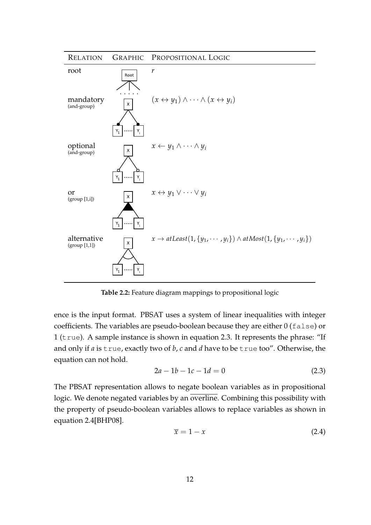<span id="page-11-0"></span>

**Table 2.2:** Feature diagram mappings to propositional logic

ence is the input format. PBSAT uses a system of linear inequalities with integer coefficients. The variables are pseudo-boolean because they are either 0 (false) or 1 (true). A sample instance is shown in equation [2.3.](#page-11-1) It represents the phrase: "If and only if *a* is true, exactly two of *b*, *c* and *d* have to be true too". Otherwise, the equation can not hold.

<span id="page-11-1"></span>
$$
2a - 1b - 1c - 1d = 0 \tag{2.3}
$$

The PBSAT representation allows to negate boolean variables as in propositional logic. We denote negated variables by an overline. Combining this possibility with the property of pseudo-boolean variables allows to replace variables as shown in equation [2.4](#page-11-2)[\[BHP08\]](#page-50-3).

<span id="page-11-2"></span>
$$
\overline{x} = 1 - x \tag{2.4}
$$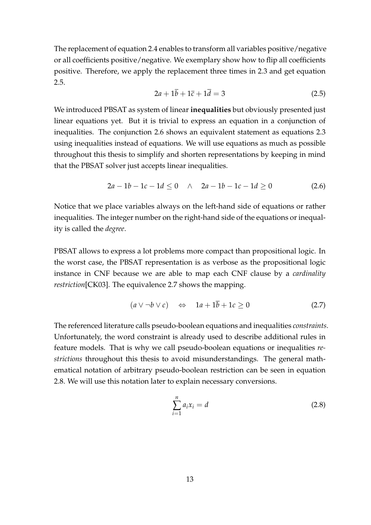The replacement of equation [2.4](#page-11-2) enables to transform all variables positive/negative or all coefficients positive/negative. We exemplary show how to flip all coefficients positive. Therefore, we apply the replacement three times in [2.3](#page-11-1) and get equation [2.5.](#page-12-0)

<span id="page-12-0"></span>
$$
2a + 1\overline{b} + 1\overline{c} + 1\overline{d} = 3\tag{2.5}
$$

We introduced PBSAT as system of linear **inequalities** but obviously presented just linear equations yet. But it is trivial to express an equation in a conjunction of inequalities. The conjunction [2.6](#page-12-1) shows an equivalent statement as equations [2.3](#page-11-1) using inequalities instead of equations. We will use equations as much as possible throughout this thesis to simplify and shorten representations by keeping in mind that the PBSAT solver just accepts linear inequalities.

<span id="page-12-1"></span>
$$
2a - 1b - 1c - 1d \le 0 \quad \wedge \quad 2a - 1b - 1c - 1d \ge 0 \tag{2.6}
$$

Notice that we place variables always on the left-hand side of equations or rather inequalities. The integer number on the right-hand side of the equations or inequality is called the *degree*.

PBSAT allows to express a lot problems more compact than propositional logic. In the worst case, the PBSAT representation is as verbose as the propositional logic instance in CNF because we are able to map each CNF clause by a *cardinality restriction*[\[CK03\]](#page-51-2). The equivalence [2.7](#page-12-2) shows the mapping.

<span id="page-12-2"></span>
$$
(a \lor \neg b \lor c) \quad \Leftrightarrow \quad 1a + 1\overline{b} + 1c \ge 0 \tag{2.7}
$$

The referenced literature calls pseudo-boolean equations and inequalities *constraints*. Unfortunately, the word constraint is already used to describe additional rules in feature models. That is why we call pseudo-boolean equations or inequalities *restrictions* throughout this thesis to avoid misunderstandings. The general mathematical notation of arbitrary pseudo-boolean restriction can be seen in equation [2.8.](#page-12-3) We will use this notation later to explain necessary conversions.

<span id="page-12-3"></span>
$$
\sum_{i=1}^{n} a_i x_i = d \tag{2.8}
$$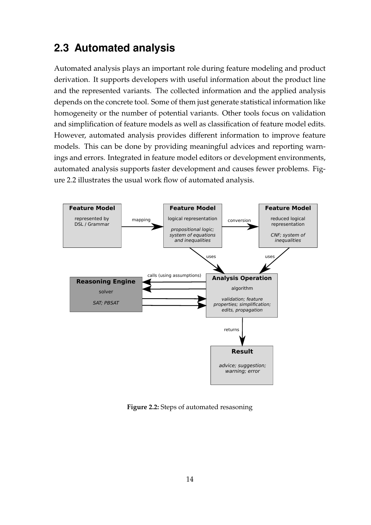## <span id="page-13-0"></span>**2.3 Automated analysis**

Automated analysis plays an important role during feature modeling and product derivation. It supports developers with useful information about the product line and the represented variants. The collected information and the applied analysis depends on the concrete tool. Some of them just generate statistical information like homogeneity or the number of potential variants. Other tools focus on validation and simplification of feature models as well as classification of feature model edits. However, automated analysis provides different information to improve feature models. This can be done by providing meaningful advices and reporting warnings and errors. Integrated in feature model editors or development environments, automated analysis supports faster development and causes fewer problems. Figure [2.2](#page-13-1) illustrates the usual work flow of automated analysis.

<span id="page-13-1"></span>

**Figure 2.2:** Steps of automated resasoning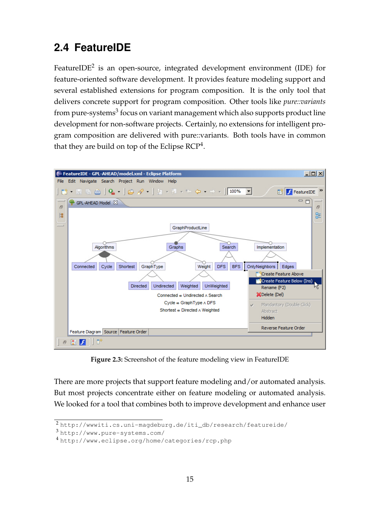## <span id="page-14-0"></span>**2.4 FeatureIDE**

FeatureIDE $^2$  $^2$  is an open-source, integrated development environment (IDE) for feature-oriented software development. It provides feature modeling support and several established extensions for program composition. It is the only tool that delivers concrete support for program composition. Other tools like *pure::variants* from pure-systems<sup>[3](#page-14-3)</sup> focus on variant management which also supports product line development for non-software projects. Certainly, no extensions for intelligent program composition are delivered with pure::variants. Both tools have in common that they are build on top of the Eclipse RCP<sup>[4](#page-14-4)</sup>.

<span id="page-14-1"></span>

**Figure 2.3:** Screenshot of the feature modeling view in FeatureIDE

There are more projects that support feature modeling and/or automated analysis. But most projects concentrate either on feature modeling or automated analysis. We looked for a tool that combines both to improve development and enhance user

<span id="page-14-2"></span><sup>2</sup> [http://wwwiti.cs.uni-magdeburg.de/iti\\_db/research/featureide/](http://wwwiti.cs.uni-magdeburg.de/iti_db/research/featureide/)

<span id="page-14-3"></span><sup>3</sup> <http://www.pure-systems.com/>

<span id="page-14-4"></span><sup>4</sup> <http://www.eclipse.org/home/categories/rcp.php>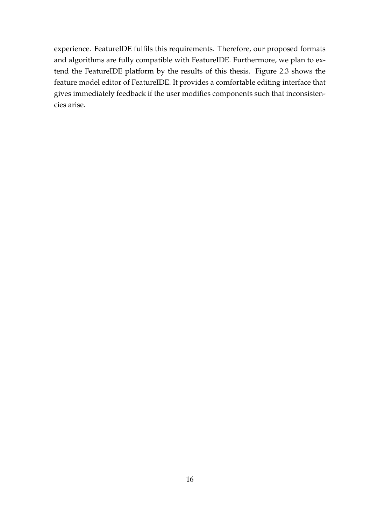experience. FeatureIDE fulfils this requirements. Therefore, our proposed formats and algorithms are fully compatible with FeatureIDE. Furthermore, we plan to extend the FeatureIDE platform by the results of this thesis. Figure [2.3](#page-14-1) shows the feature model editor of FeatureIDE. It provides a comfortable editing interface that gives immediately feedback if the user modifies components such that inconsistencies arise.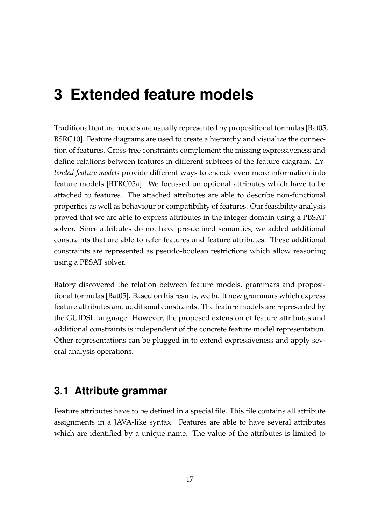## <span id="page-16-0"></span>**3 Extended feature models**

Traditional feature models are usually represented by propositional formulas [\[Bat05,](#page-50-1) [BSRC10\]](#page-50-2). Feature diagrams are used to create a hierarchy and visualize the connection of features. Cross-tree constraints complement the missing expressiveness and define relations between features in different subtrees of the feature diagram. *Extended feature models* provide different ways to encode even more information into feature models [\[BTRC05a\]](#page-50-4). We focussed on optional attributes which have to be attached to features. The attached attributes are able to describe non-functional properties as well as behaviour or compatibility of features. Our feasibility analysis proved that we are able to express attributes in the integer domain using a PBSAT solver. Since attributes do not have pre-defined semantics, we added additional constraints that are able to refer features and feature attributes. These additional constraints are represented as pseudo-boolean restrictions which allow reasoning using a PBSAT solver.

Batory discovered the relation between feature models, grammars and propositional formulas [\[Bat05\]](#page-50-1). Based on his results, we built new grammars which express feature attributes and additional constraints. The feature models are represented by the GUIDSL language. However, the proposed extension of feature attributes and additional constraints is independent of the concrete feature model representation. Other representations can be plugged in to extend expressiveness and apply several analysis operations.

### <span id="page-16-1"></span>**3.1 Attribute grammar**

Feature attributes have to be defined in a special file. This file contains all attribute assignments in a JAVA-like syntax. Features are able to have several attributes which are identified by a unique name. The value of the attributes is limited to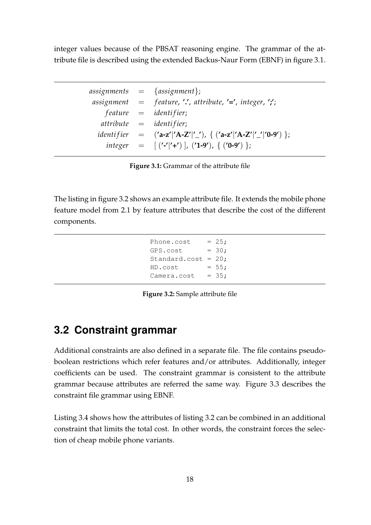integer values because of the PBSAT reasoning engine. The grammar of the attribute file is described using the extended Backus-Naur Form (EBNF) in figure [3.1.](#page-17-1)

<span id="page-17-1"></span>

|  | $\{assignment\} = \{assignment\};$                                     |
|--|------------------------------------------------------------------------|
|  | assignment $=$ feature, '.', attribute, '=', integer, ';';             |
|  | $feature = identifier;$                                                |
|  | $attribute = identifier;$                                              |
|  | <i>identifier</i> = $('a-z' 'A-Z' '')$ , { $('a-z' 'A-Z' '-''0-9')$ }; |
|  | integer = $[('$ -' '+')  , ('1-9'), { ('0-9') };                       |

**Figure 3.1:** Grammar of the attribute file

<span id="page-17-2"></span>The listing in figure [3.2](#page-17-2) shows an example attribute file. It extends the mobile phone feature model from [2.1](#page-9-2) by feature attributes that describe the cost of the different components.

```
Phone.cost = 25;GPS.cost = 30:
Standard.cost = 20;
HD. cost = 55;Camera.cost = 35;
```
**Figure 3.2:** Sample attribute file

#### <span id="page-17-0"></span>**3.2 Constraint grammar**

Additional constraints are also defined in a separate file. The file contains pseudoboolean restrictions which refer features and/or attributes. Additionally, integer coefficients can be used. The constraint grammar is consistent to the attribute grammar because attributes are referred the same way. Figure [3.3](#page-18-1) describes the constraint file grammar using EBNF.

Listing [3.4](#page-18-2) shows how the attributes of listing [3.2](#page-17-2) can be combined in an additional constraint that limits the total cost. In other words, the constraint forces the selection of cheap mobile phone variants.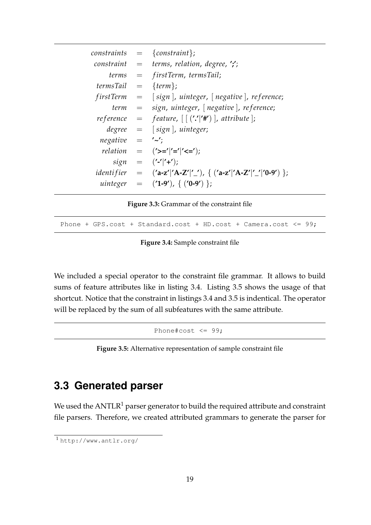<span id="page-18-1"></span>

| constraints        | $=$ {constraint};                                                                                                                                                          |
|--------------------|----------------------------------------------------------------------------------------------------------------------------------------------------------------------------|
|                    | constraint $=$ terms, relation, degree, $\prime$ ;                                                                                                                         |
|                    | $terms = firstTerm, termsTail;$                                                                                                                                            |
| $termsTail =$      | $\{term\};$                                                                                                                                                                |
| <i>firstTerm</i>   | $=$ [sign], uinteger, [negative], reference;                                                                                                                               |
| term               | $=$ sign, uinteger, $\lceil$ negative $\rceil$ , reference;                                                                                                                |
| re ference         | $=$ feature, $\left[ \left( \cdot,\cdot\right] ^{r}\right] ^{r}$ , attribute];                                                                                             |
|                    | $degree = [sign],$ uinteger;                                                                                                                                               |
| $negative = '~'$ ; |                                                                                                                                                                            |
|                    | <i>relation</i> = $('>=' '=' '<=')$ ;                                                                                                                                      |
|                    | $sign = ('-' '+');$                                                                                                                                                        |
|                    | <i>identifier</i> = $(\text{a-z}^{\prime} ^{\prime}A-Z^{\prime} ^{\prime})$ , { $(\text{a-z}^{\prime} ^{\prime}A-Z^{\prime} ^{\prime})^{\prime} ^{\prime}0-9^{\prime})$ }; |
| uinteger           | $=$ ('1-9'), { ('0-9') };                                                                                                                                                  |

**Figure 3.3:** Grammar of the constraint file

<span id="page-18-2"></span>Phone + GPS.cost + Standard.cost + HD.cost + Camera.cost <=  $99$ ;

**Figure 3.4:** Sample constraint file

<span id="page-18-3"></span>We included a special operator to the constraint file grammar. It allows to build sums of feature attributes like in listing [3.4.](#page-18-2) Listing [3.5](#page-18-3) shows the usage of that shortcut. Notice that the constraint in listings [3.4](#page-18-2) and [3.5](#page-18-3) is indentical. The operator will be replaced by the sum of all subfeatures with the same attribute.

Phone#cost  $\leq$  99;

**Figure 3.5:** Alternative representation of sample constraint file

### <span id="page-18-0"></span>**3.3 Generated parser**

We used the  $ANTLR<sup>1</sup>$  $ANTLR<sup>1</sup>$  $ANTLR<sup>1</sup>$  parser generator to build the required attribute and constraint file parsers. Therefore, we created attributed grammars to generate the parser for

<span id="page-18-4"></span><sup>1</sup> <http://www.antlr.org/>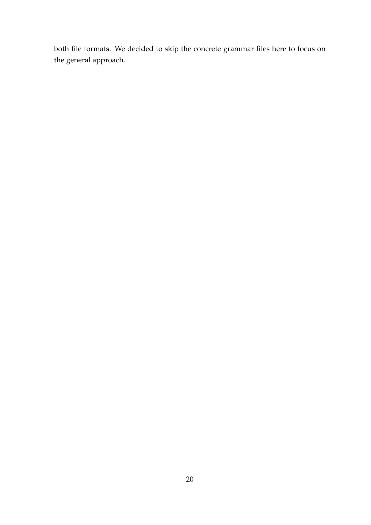both file formats. We decided to skip the concrete grammar files here to focus on the general approach.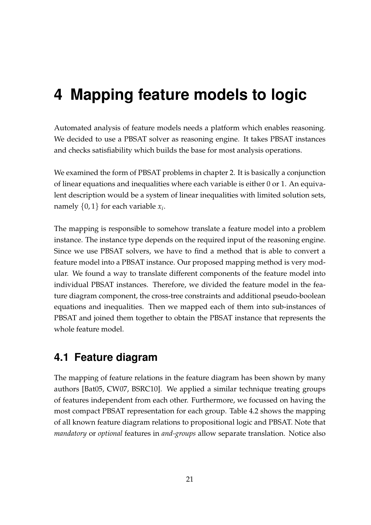## <span id="page-20-0"></span>**4 Mapping feature models to logic**

Automated analysis of feature models needs a platform which enables reasoning. We decided to use a PBSAT solver as reasoning engine. It takes PBSAT instances and checks satisfiability which builds the base for most analysis operations.

We examined the form of PBSAT problems in chapter [2.](#page-9-0) It is basically a conjunction of linear equations and inequalities where each variable is either 0 or 1. An equivalent description would be a system of linear inequalities with limited solution sets, namely {0, 1} for each variable *x<sup>i</sup>* .

The mapping is responsible to somehow translate a feature model into a problem instance. The instance type depends on the required input of the reasoning engine. Since we use PBSAT solvers, we have to find a method that is able to convert a feature model into a PBSAT instance. Our proposed mapping method is very modular. We found a way to translate different components of the feature model into individual PBSAT instances. Therefore, we divided the feature model in the feature diagram component, the cross-tree constraints and additional pseudo-boolean equations and inequalities. Then we mapped each of them into sub-instances of PBSAT and joined them together to obtain the PBSAT instance that represents the whole feature model.

### <span id="page-20-1"></span>**4.1 Feature diagram**

The mapping of feature relations in the feature diagram has been shown by many authors [\[Bat05,](#page-50-1) [CW07,](#page-51-3) [BSRC10\]](#page-50-2). We applied a similar technique treating groups of features independent from each other. Furthermore, we focussed on having the most compact PBSAT representation for each group. Table [4.2](#page-23-0) shows the mapping of all known feature diagram relations to propositional logic and PBSAT. Note that *mandatory* or *optional* features in *and-groups* allow separate translation. Notice also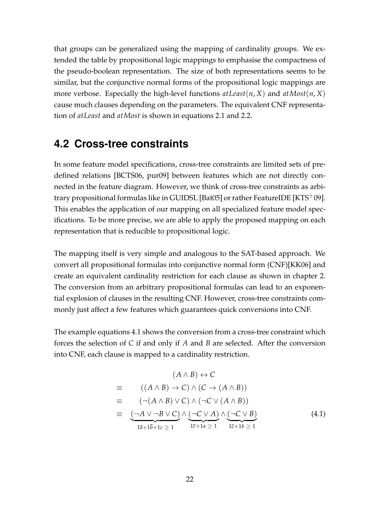that groups can be generalized using the mapping of cardinality groups. We extended the table by propositional logic mappings to emphasise the compactness of the pseudo-boolean representation. The size of both representations seems to be similar, but the conjunctive normal forms of the propositional logic mappings are more verbose. Especially the high-level functions  $atLeast(n, X)$  and  $atMost(n, X)$ cause much clauses depending on the parameters. The equivalent CNF representation of *atLeast* and *atMost* is shown in equations [2.1](#page-10-2) and [2.2.](#page-10-2)

#### <span id="page-21-0"></span>**4.2 Cross-tree constraints**

In some feature model specifications, cross-tree constraints are limited sets of predefined relations [\[BCTS06,](#page-50-5) [pur09\]](#page-51-4) between features which are not directly connected in the feature diagram. However, we think of cross-tree constraints as arbi-trary propositional formulas like in GUIDSL [\[Bat05\]](#page-50-1) or rather FeatureIDE [\[KTS](#page-51-5)<sup>+</sup>09]. This enables the application of our mapping on all specialized feature model specifications. To be more precise, we are able to apply the proposed mapping on each representation that is reducible to propositional logic.

The mapping itself is very simple and analogous to the SAT-based approach. We convert all propositional formulas into conjunctive normal form (CNF)[\[KK06\]](#page-51-1) and create an equivalent cardinality restriction for each clause as shown in chapter [2.](#page-9-0) The conversion from an arbitrary propositional formulas can lead to an exponential explosion of clauses in the resulting CNF. However, cross-tree constraints commonly just affect a few features which guarantees quick conversions into CNF.

The example equations [4.1](#page-21-1) shows the conversion from a cross-tree constraint which forces the selection of *C* if and only if *A* and *B* are selected. After the conversion into CNF, each clause is mapped to a cardinality restriction.

<span id="page-21-1"></span>
$$
(A \land B) \leftrightarrow C
$$
  
\n
$$
\equiv ((A \land B) \to C) \land (C \to (A \land B))
$$
  
\n
$$
\equiv (\neg(A \land B) \lor C) \land (\neg C \lor (A \land B))
$$
  
\n
$$
\equiv \underbrace{(\neg A \lor \neg B \lor C)} \land \underbrace{(\neg C \lor A)} \land (\neg C \lor B)
$$
  
\n
$$
\overline{1\overline{a} + 1\overline{b} + 1c \ge 1} \land \underbrace{(\neg C \lor A)} \land \underbrace{(\neg C \lor B)}_{1\overline{c} + 1a \ge 1} \land \underbrace{(\neg C \lor B)}_{1\overline{c} + 1b \ge 1}
$$
\n(4.1)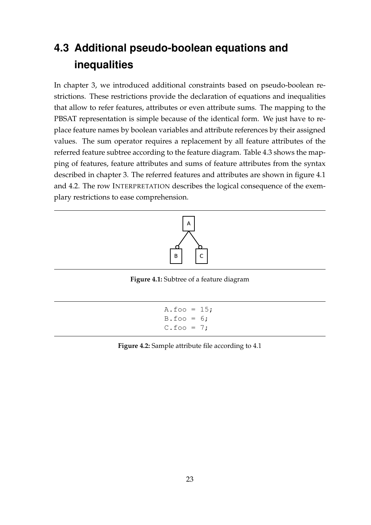## <span id="page-22-0"></span>**4.3 Additional pseudo-boolean equations and inequalities**

In chapter [3,](#page-16-0) we introduced additional constraints based on pseudo-boolean restrictions. These restrictions provide the declaration of equations and inequalities that allow to refer features, attributes or even attribute sums. The mapping to the PBSAT representation is simple because of the identical form. We just have to replace feature names by boolean variables and attribute references by their assigned values. The sum operator requires a replacement by all feature attributes of the referred feature subtree according to the feature diagram. Table [4.3](#page-24-0) shows the mapping of features, feature attributes and sums of feature attributes from the syntax described in chapter [3.](#page-16-0) The referred features and attributes are shown in figure [4.1](#page-22-1) and [4.2.](#page-22-2) The row INTERPRETATION describes the logical consequence of the exemplary restrictions to ease comprehension.

<span id="page-22-1"></span>

**Figure 4.1:** Subtree of a feature diagram

```
A.foo = 15;B.foo = 6;C.foo = 7;
```
<span id="page-22-2"></span>**Figure 4.2:** Sample attribute file according to [4.1](#page-22-1)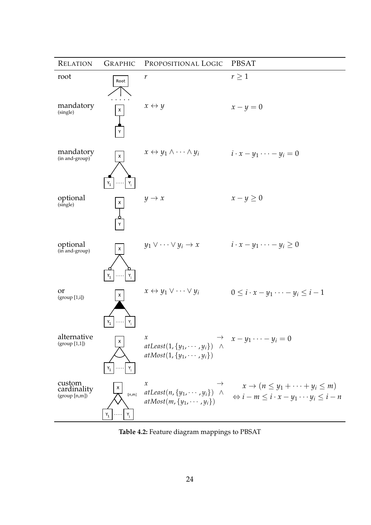<span id="page-23-0"></span>

| <b>RELATION</b>                        | <b>GRAPHIC</b>          | PROPOSITIONAL LOGIC                                                                                               | <b>PBSAT</b>                                                                                                                                                                                                                                                                                                                                                                                   |
|----------------------------------------|-------------------------|-------------------------------------------------------------------------------------------------------------------|------------------------------------------------------------------------------------------------------------------------------------------------------------------------------------------------------------------------------------------------------------------------------------------------------------------------------------------------------------------------------------------------|
| root                                   | Root                    | r                                                                                                                 | $r\geq 1$                                                                                                                                                                                                                                                                                                                                                                                      |
| mandatory<br>(single)                  | $\pmb{\times}$          | $x \leftrightarrow y$                                                                                             | $x-y=0$                                                                                                                                                                                                                                                                                                                                                                                        |
| mandatory<br>(in and-group)            | X<br>$Y_1$              | $x \leftrightarrow y_1 \land \cdots \land y_i$                                                                    | $i \cdot x - y_1 \cdot \cdot \cdot - y_i = 0$                                                                                                                                                                                                                                                                                                                                                  |
| optional<br>(single)                   |                         | $y \rightarrow x$                                                                                                 | $x-y\geq 0$                                                                                                                                                                                                                                                                                                                                                                                    |
| optional<br>(in and-group)             | X                       | $y_1 \vee \cdots \vee y_i \rightarrow x$                                                                          | $i \cdot x - y_1 \cdot \cdot \cdot - y_i \geq 0$                                                                                                                                                                                                                                                                                                                                               |
| or<br>(group [1,i])                    |                         | $x \leftrightarrow y_1 \vee \cdots \vee y_i$                                                                      | $0 \leq i \cdot x - y_1 \cdots - y_i \leq i-1$                                                                                                                                                                                                                                                                                                                                                 |
| alternative<br>(group [1,1])           |                         | $\boldsymbol{\mathcal{X}}$<br>$atLeast(1, \{y_1, \cdots, y_i\})$<br>$\wedge$<br>$atMost(1, \{y_1, \cdots, y_i\})$ | $x-y_1\cdots-y_i=0$                                                                                                                                                                                                                                                                                                                                                                            |
| custom<br>cardinality<br>(group [n,m]) | [n,m]<br>$Y_i$<br>$Y_1$ | $\mathcal{X}$<br>$atMost(m, \{y_1, \cdots, y_i\})$                                                                | $x \to (n \leq y_1 + \cdots + y_i \leq m)$<br><i>x</i><br><i>atLeast</i> ( <i>n</i> , { $y_1$ , ···, $y_i$ }) $\land$ $\qquad$ $\qquad$ $\qquad$ $\qquad$ $\qquad$ $\qquad$ $\qquad$ $\qquad$ $\qquad$ $\qquad$ $\qquad$ $\qquad$ $\qquad$ $\qquad$ $\qquad$ $\qquad$ $\qquad$ $\qquad$ $\qquad$ $\qquad$ $\qquad$ $\qquad$ $\qquad$ $\qquad$ $\qquad$ $\qquad$ $\qquad$ $\qquad$ $\qquad$ $\$ |

**Table 4.2:** Feature diagram mappings to PBSAT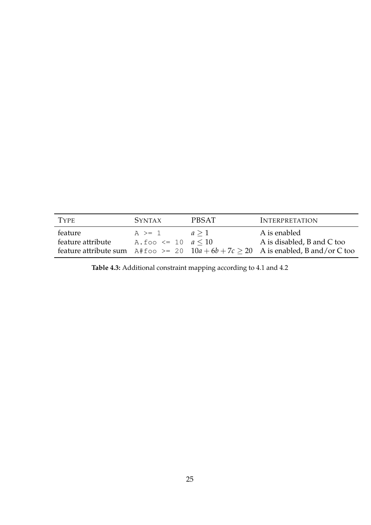<span id="page-24-0"></span>

| <b>TYPE</b>       | SYNTAX                       | <b>PBSAT</b> | <b>INTERPRETATION</b>                                                               |
|-------------------|------------------------------|--------------|-------------------------------------------------------------------------------------|
| feature           | $A \geq 1$                   | a > 1        | A is enabled                                                                        |
| feature attribute | A. foo $\leq 10$ $a \leq 10$ |              | A is disabled, B and C too                                                          |
|                   |                              |              | feature attribute sum A#foo >= 20 $10a + 6b + 7c > 20$ A is enabled, B and/or C too |

**Table 4.3:** Additional constraint mapping according to [4.1](#page-22-1) and [4.2](#page-22-2)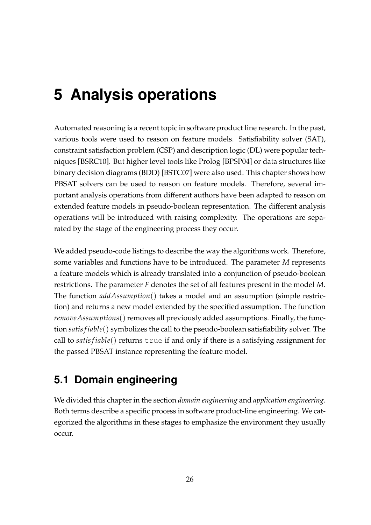## <span id="page-25-0"></span>**5 Analysis operations**

Automated reasoning is a recent topic in software product line research. In the past, various tools were used to reason on feature models. Satisfiability solver (SAT), constraint satisfaction problem (CSP) and description logic (DL) were popular techniques [\[BSRC10\]](#page-50-2). But higher level tools like Prolog [\[BPSP04\]](#page-50-6) or data structures like binary decision diagrams (BDD) [\[BSTC07\]](#page-50-7) were also used. This chapter shows how PBSAT solvers can be used to reason on feature models. Therefore, several important analysis operations from different authors have been adapted to reason on extended feature models in pseudo-boolean representation. The different analysis operations will be introduced with raising complexity. The operations are separated by the stage of the engineering process they occur.

We added pseudo-code listings to describe the way the algorithms work. Therefore, some variables and functions have to be introduced. The parameter *M* represents a feature models which is already translated into a conjunction of pseudo-boolean restrictions. The parameter *F* denotes the set of all features present in the model *M*. The function *addAssumption*() takes a model and an assumption (simple restriction) and returns a new model extended by the specified assumption. The function *removeAssumptions*() removes all previously added assumptions. Finally, the function *satis f iable*() symbolizes the call to the pseudo-boolean satisfiability solver. The call to *satis f iable*() returns true if and only if there is a satisfying assignment for the passed PBSAT instance representing the feature model.

## <span id="page-25-1"></span>**5.1 Domain engineering**

We divided this chapter in the section *domain engineering* and *application engineering*. Both terms describe a specific process in software product-line engineering. We categorized the algorithms in these stages to emphasize the environment they usually occur.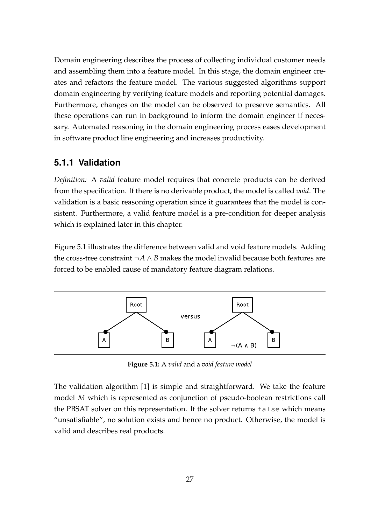Domain engineering describes the process of collecting individual customer needs and assembling them into a feature model. In this stage, the domain engineer creates and refactors the feature model. The various suggested algorithms support domain engineering by verifying feature models and reporting potential damages. Furthermore, changes on the model can be observed to preserve semantics. All these operations can run in background to inform the domain engineer if necessary. Automated reasoning in the domain engineering process eases development in software product line engineering and increases productivity.

#### <span id="page-26-0"></span>**5.1.1 Validation**

*Definition:* A *valid* feature model requires that concrete products can be derived from the specification. If there is no derivable product, the model is called *void*. The validation is a basic reasoning operation since it guarantees that the model is consistent. Furthermore, a valid feature model is a pre-condition for deeper analysis which is explained later in this chapter.

Figure [5.1](#page-26-1) illustrates the difference between valid and void feature models. Adding the cross-tree constraint  $\neg A \wedge B$  makes the model invalid because both features are forced to be enabled cause of mandatory feature diagram relations.

<span id="page-26-1"></span>

**Figure 5.1:** A *valid* and a *void feature model*

The validation algorithm [\[1\]](#page-27-2) is simple and straightforward. We take the feature model *M* which is represented as conjunction of pseudo-boolean restrictions call the PBSAT solver on this representation. If the solver returns false which means "unsatisfiable", no solution exists and hence no product. Otherwise, the model is valid and describes real products.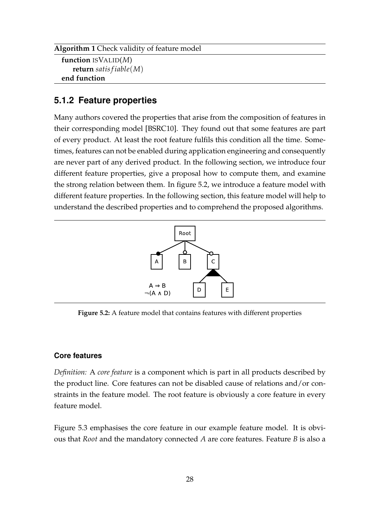```
Algorithm 1 Check validity of feature model
```

```
function ISVALID(M)
   return satis f iable(M)
end function
```
#### <span id="page-27-0"></span>**5.1.2 Feature properties**

Many authors covered the properties that arise from the composition of features in their corresponding model [\[BSRC10\]](#page-50-2). They found out that some features are part of every product. At least the root feature fulfils this condition all the time. Sometimes, features can not be enabled during application engineering and consequently are never part of any derived product. In the following section, we introduce four different feature properties, give a proposal how to compute them, and examine the strong relation between them. In figure [5.2,](#page-27-1) we introduce a feature model with different feature properties. In the following section, this feature model will help to understand the described properties and to comprehend the proposed algorithms.

<span id="page-27-1"></span>

**Figure 5.2:** A feature model that contains features with different properties

#### **Core features**

*Definition:* A *core feature* is a component which is part in all products described by the product line. Core features can not be disabled cause of relations and/or constraints in the feature model. The root feature is obviously a core feature in every feature model.

Figure [5.3](#page-28-0) emphasises the core feature in our example feature model. It is obvious that *Root* and the mandatory connected *A* are core features. Feature *B* is also a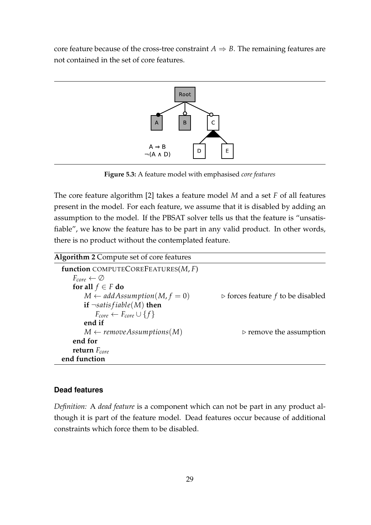<span id="page-28-0"></span>core feature because of the cross-tree constraint  $A \Rightarrow B$ . The remaining features are not contained in the set of core features.



**Figure 5.3:** A feature model with emphasised *core features*

The core feature algorithm [\[2\]](#page-28-1) takes a feature model *M* and a set *F* of all features present in the model. For each feature, we assume that it is disabled by adding an assumption to the model. If the PBSAT solver tells us that the feature is "unsatisfiable", we know the feature has to be part in any valid product. In other words, there is no product without the contemplated feature.

<span id="page-28-1"></span>

| <b>Algorithm 2 Compute set of core features</b> |                                                  |
|-------------------------------------------------|--------------------------------------------------|
| function COMPUTECOREFEATURES( $M$ , $F$ )       |                                                  |
| $F_{core} \leftarrow \emptyset$                 |                                                  |
| for all $f \in F$ do                            |                                                  |
| $M \leftarrow addAssumption(M, f = 0)$          | $\triangleright$ forces feature f to be disabled |
| if $\neg satisfiable(M)$ then                   |                                                  |
| $F_{core} \leftarrow F_{core} \cup \{f\}$       |                                                  |
| end if                                          |                                                  |
| $M \leftarrow removeAssumptions(M)$             | $\triangleright$ remove the assumption           |
| end for                                         |                                                  |
| return $F_{core}$                               |                                                  |
| end function                                    |                                                  |

#### **Dead features**

*Definition:* A *dead feature* is a component which can not be part in any product although it is part of the feature model. Dead features occur because of additional constraints which force them to be disabled.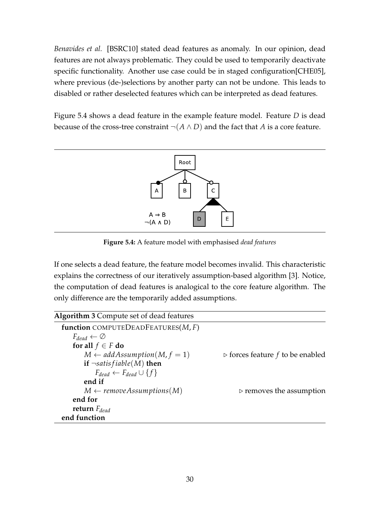*Benavides et al.* [\[BSRC10\]](#page-50-2) stated dead features as anomaly. In our opinion, dead features are not always problematic. They could be used to temporarily deactivate specific functionality. Another use case could be in staged configuration[\[CHE05\]](#page-51-6), where previous (de-)selections by another party can not be undone. This leads to disabled or rather deselected features which can be interpreted as dead features.

Figure [5.4](#page-29-0) shows a dead feature in the example feature model. Feature *D* is dead because of the cross-tree constraint  $\neg(A \land D)$  and the fact that *A* is a core feature.

<span id="page-29-0"></span>

**Figure 5.4:** A feature model with emphasised *dead features*

If one selects a dead feature, the feature model becomes invalid. This characteristic explains the correctness of our iteratively assumption-based algorithm [\[3\]](#page-29-1). Notice, the computation of dead features is analogical to the core feature algorithm. The only difference are the temporarily added assumptions.

<span id="page-29-1"></span>

| <b>Algorithm 3 Compute set of dead features</b> |                                                 |
|-------------------------------------------------|-------------------------------------------------|
| function COMPUTEDEADFEATURES $(M, F)$           |                                                 |
| $F_{dead} \leftarrow \emptyset$                 |                                                 |
| for all $f \in F$ do                            |                                                 |
| $M \leftarrow$ add Assumption(M, $f = 1$ )      | $\triangleright$ forces feature f to be enabled |
| if $\neg satisfiable(M)$ then                   |                                                 |
| $F_{dead} \leftarrow F_{dead} \cup \{f\}$       |                                                 |
| end if                                          |                                                 |
| $M \leftarrow removeAssumptions(M)$             | $\triangleright$ removes the assumption         |
| end for                                         |                                                 |
| return $F_{dead}$                               |                                                 |
| end function                                    |                                                 |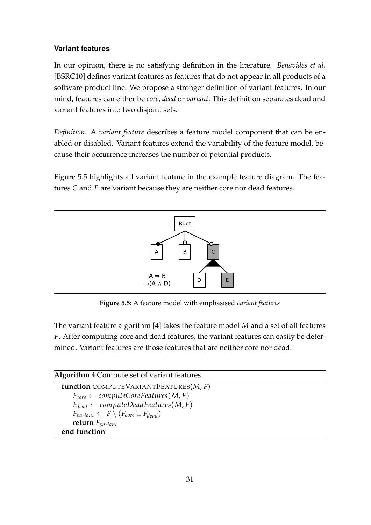#### **Variant features**

In our opinion, there is no satisfying definition in the literature. *Benavides et al.* [\[BSRC10\]](#page-50-2) defines variant features as features that do not appear in all products of a software product line. We propose a stronger definition of variant features. In our mind, features can either be *core*, *dead* or *variant*. This definition separates dead and variant features into two disjoint sets.

*Definition:* A *variant feature* describes a feature model component that can be enabled or disabled. Variant features extend the variability of the feature model, because their occurrence increases the number of potential products.

Figure [5.5](#page-30-0) highlights all variant feature in the example feature diagram. The features *C* and *E* are variant because they are neither core nor dead features.

<span id="page-30-0"></span>

**Figure 5.5:** A feature model with emphasised *variant features*

The variant feature algorithm [\[4\]](#page-30-1) takes the feature model *M* and a set of all features *F*. After computing core and dead features, the variant features can easily be determined. Variant features are those features that are neither core nor dead.

#### <span id="page-30-1"></span>**Algorithm 4** Compute set of variant features

**function** COMPUTEVARIANTFEATURES(*M*, *F*)  $F_{core} \leftarrow computeCoreFeatures(M, F)$  $F_{dead} \leftarrow computeDeadFeatures(M, F)$  $F_{variant} \leftarrow F \setminus (F_{core} \cup F_{dead})$ **return** *Fvariant* **end function**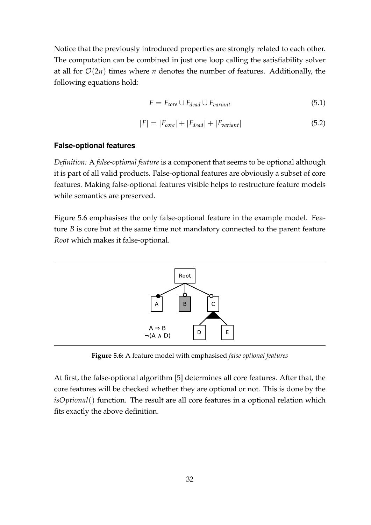Notice that the previously introduced properties are strongly related to each other. The computation can be combined in just one loop calling the satisfiability solver at all for  $O(2n)$  times where *n* denotes the number of features. Additionally, the following equations hold:

$$
F = F_{core} \cup F_{dead} \cup F_{variant}
$$
 (5.1)

$$
|F| = |F_{core}| + |F_{dead}| + |F_{variant}|
$$
\n
$$
(5.2)
$$

#### **False-optional features**

*Definition:* A *false-optional feature* is a component that seems to be optional although it is part of all valid products. False-optional features are obviously a subset of core features. Making false-optional features visible helps to restructure feature models while semantics are preserved.

Figure [5.6](#page-31-0) emphasises the only false-optional feature in the example model. Feature *B* is core but at the same time not mandatory connected to the parent feature *Root* which makes it false-optional.

<span id="page-31-0"></span>

**Figure 5.6:** A feature model with emphasised *false optional features*

At first, the false-optional algorithm [\[5\]](#page-32-2) determines all core features. After that, the core features will be checked whether they are optional or not. This is done by the *isOptional*() function. The result are all core features in a optional relation which fits exactly the above definition.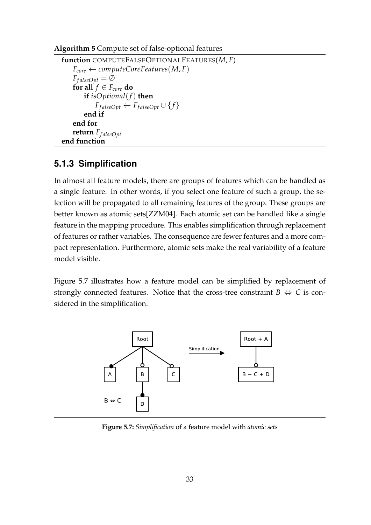#### <span id="page-32-2"></span>**Algorithm 5** Compute set of false-optional features

```
function COMPUTEFALSEOPTIONALFEATURES(M, F)
    F_{core} \leftarrow computeCoreFeatures(M, F)F_{falseOpt} = \emptysetfor all f \in F_{core} do
        if isOptional(f) then
            F_{\text{falseOpt}} \leftarrow F_{\text{falseOpt}} \cup \{f\}end if
    end for
    return F_{falseOnt}end function
```
#### <span id="page-32-0"></span>**5.1.3 Simplification**

In almost all feature models, there are groups of features which can be handled as a single feature. In other words, if you select one feature of such a group, the selection will be propagated to all remaining features of the group. These groups are better known as atomic sets[\[ZZM04\]](#page-52-1). Each atomic set can be handled like a single feature in the mapping procedure. This enables simplification through replacement of features or rather variables. The consequence are fewer features and a more compact representation. Furthermore, atomic sets make the real variability of a feature model visible.

Figure [5.7](#page-32-1) illustrates how a feature model can be simplified by replacement of strongly connected features. Notice that the cross-tree constraint  $B \Leftrightarrow C$  is considered in the simplification.

<span id="page-32-1"></span>

**Figure 5.7:** *Simplification* of a feature model with *atomic sets*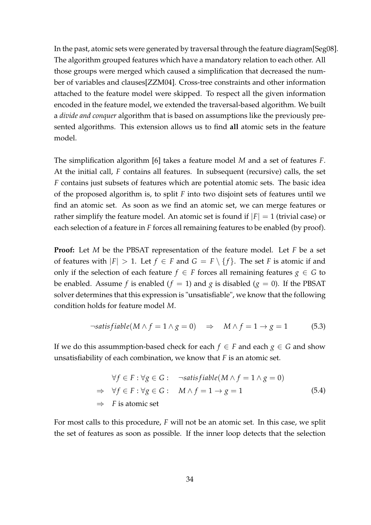In the past, atomic sets were generated by traversal through the feature diagram[\[Seg08\]](#page-51-7). The algorithm grouped features which have a mandatory relation to each other. All those groups were merged which caused a simplification that decreased the number of variables and clauses[\[ZZM04\]](#page-52-1). Cross-tree constraints and other information attached to the feature model were skipped. To respect all the given information encoded in the feature model, we extended the traversal-based algorithm. We built a *divide and conquer* algorithm that is based on assumptions like the previously presented algorithms. This extension allows us to find **all** atomic sets in the feature model.

The simplification algorithm [\[6\]](#page-34-0) takes a feature model *M* and a set of features *F*. At the initial call, *F* contains all features. In subsequent (recursive) calls, the set *F* contains just subsets of features which are potential atomic sets. The basic idea of the proposed algorithm is, to split *F* into two disjoint sets of features until we find an atomic set. As soon as we find an atomic set, we can merge features or rather simplify the feature model. An atomic set is found if  $|F| = 1$  (trivial case) or each selection of a feature in *F* forces all remaining features to be enabled (by proof).

**Proof:** Let *M* be the PBSAT representation of the feature model. Let *F* be a set of features with  $|F| > 1$ . Let  $f \in F$  and  $G = F \setminus \{f\}$ . The set *F* is atomic if and only if the selection of each feature  $f \in F$  forces all remaining features  $g \in G$  to be enabled. Assume *f* is enabled ( $f = 1$ ) and *g* is disabled ( $g = 0$ ). If the PBSAT solver determines that this expression is "unsatisfiable", we know that the following condition holds for feature model *M*.

$$
\neg satisfiable(M \land f = 1 \land g = 0) \Rightarrow M \land f = 1 \to g = 1 \tag{5.3}
$$

If we do this assummption-based check for each  $f \in F$  and each  $g \in G$  and show unsatisfiability of each combination, we know that *F* is an atomic set.

$$
\forall f \in F : \forall g \in G : \neg \text{satisfiable}(M \land f = 1 \land g = 0)
$$
  
\n
$$
\Rightarrow \forall f \in F : \forall g \in G : M \land f = 1 \rightarrow g = 1
$$
  
\n
$$
\Rightarrow F \text{ is atomic set}
$$
 (5.4)

For most calls to this procedure, *F* will not be an atomic set. In this case, we split the set of features as soon as possible. If the inner loop detects that the selection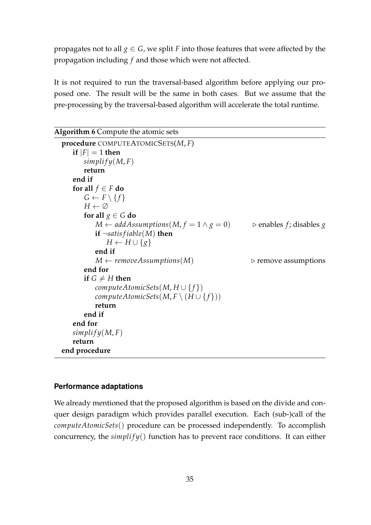propagates not to all  $g \in G$ , we split *F* into those features that were affected by the propagation including *f* and those which were not affected.

It is not required to run the traversal-based algorithm before applying our proposed one. The result will be the same in both cases. But we assume that the pre-processing by the traversal-based algorithm will accelerate the total runtime.

<span id="page-34-0"></span>

| Algorithm 6 Compute the atomic sets                      |                                        |
|----------------------------------------------------------|----------------------------------------|
| procedure COMPUTEATOMICSETS $(M, F)$                     |                                        |
| if $ F =1$ then                                          |                                        |
| simplify(M, F)                                           |                                        |
| return                                                   |                                        |
| end if                                                   |                                        |
| for all $f \in F$ do                                     |                                        |
| $G \leftarrow F \setminus \{f\}$                         |                                        |
| $H \leftarrow \emptyset$                                 |                                        |
| for all $g \in G$ do                                     |                                        |
| $M \leftarrow$ add Assumptions $(M, f = 1 \wedge g = 0)$ | $\triangleright$ enables f; disables g |
| if $\neg satisfiable(M)$ then                            |                                        |
| $H \leftarrow H \cup \{g\}$                              |                                        |
| end if                                                   |                                        |
| $M \leftarrow$ remove Assumptions (M)                    | $\triangleright$ remove assumptions    |
| end for                                                  |                                        |
| if $G \neq H$ then                                       |                                        |
| computeAtomicSets(M, $H \cup \{f\}$ )                    |                                        |
| computeAtomicSets(M, $F \setminus (H \cup \{f\})$ )      |                                        |
| return                                                   |                                        |
| end if                                                   |                                        |
| end for                                                  |                                        |
| simplify(M, F)                                           |                                        |
| return                                                   |                                        |
| end procedure                                            |                                        |

#### **Performance adaptations**

We already mentioned that the proposed algorithm is based on the divide and conquer design paradigm which provides parallel execution. Each (sub-)call of the *computeAtomicSets*() procedure can be processed independently. To accomplish concurrency, the  $simplify()$  function has to prevent race conditions. It can either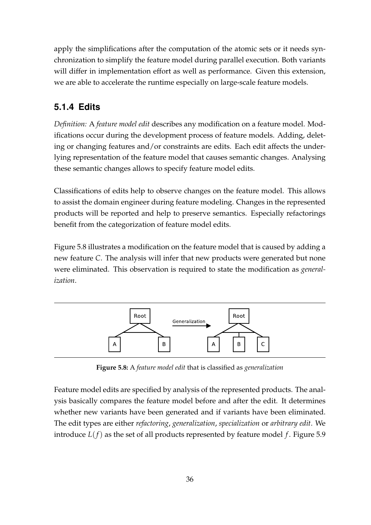apply the simplifications after the computation of the atomic sets or it needs synchronization to simplify the feature model during parallel execution. Both variants will differ in implementation effort as well as performance. Given this extension, we are able to accelerate the runtime especially on large-scale feature models.

### <span id="page-35-0"></span>**5.1.4 Edits**

*Definition:* A *feature model edit* describes any modification on a feature model. Modifications occur during the development process of feature models. Adding, deleting or changing features and/or constraints are edits. Each edit affects the underlying representation of the feature model that causes semantic changes. Analysing these semantic changes allows to specify feature model edits.

Classifications of edits help to observe changes on the feature model. This allows to assist the domain engineer during feature modeling. Changes in the represented products will be reported and help to preserve semantics. Especially refactorings benefit from the categorization of feature model edits.

Figure [5.8](#page-35-1) illustrates a modification on the feature model that is caused by adding a new feature *C*. The analysis will infer that new products were generated but none were eliminated. This observation is required to state the modification as *generalization*.

<span id="page-35-1"></span>

**Figure 5.8:** A *feature model edit* that is classified as *generalization*

Feature model edits are specified by analysis of the represented products. The analysis basically compares the feature model before and after the edit. It determines whether new variants have been generated and if variants have been eliminated. The edit types are either *refactoring*, *generalization*, *specialization* or *arbitrary edit*. We introduce  $L(f)$  as the set of all products represented by feature model  $f$ . Figure [5.9](#page-36-0)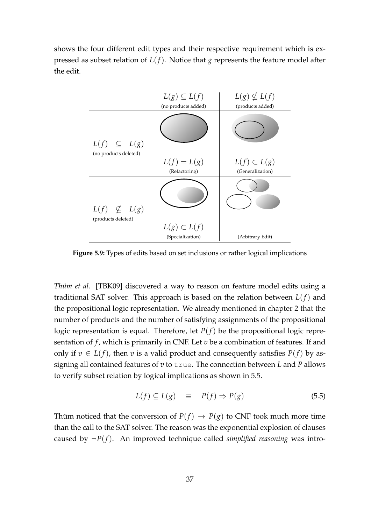shows the four different edit types and their respective requirement which is expressed as subset relation of  $L(f)$ . Notice that *g* represents the feature model after the edit.

<span id="page-36-0"></span>

**Figure 5.9:** Types of edits based on set inclusions or rather logical implications

*Thüm et al.* [\[TBK09\]](#page-52-2) discovered a way to reason on feature model edits using a traditional SAT solver. This approach is based on the relation between *L*(*f*) and the propositional logic representation. We already mentioned in chapter [2](#page-9-0) that the number of products and the number of satisfying assignments of the propositional logic representation is equal. Therefore, let  $P(f)$  be the propositional logic representation of *f*, which is primarily in CNF. Let *v* be a combination of features. If and only if  $v \in L(f)$ , then *v* is a valid product and consequently satisfies  $P(f)$  by assigning all contained features of *v* to true. The connection between *L* and *P* allows to verify subset relation by logical implications as shown in [5.5.](#page-36-1)

<span id="page-36-1"></span>
$$
L(f) \subseteq L(g) \equiv P(f) \Rightarrow P(g) \tag{5.5}
$$

Thüm noticed that the conversion of  $P(f) \to P(g)$  to CNF took much more time than the call to the SAT solver. The reason was the exponential explosion of clauses caused by  $\neg P(f)$ . An improved technique called *simplified reasoning* was intro-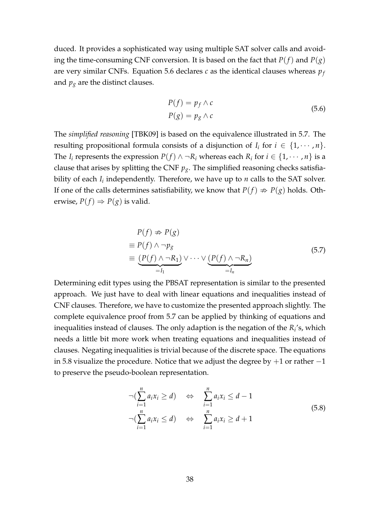duced. It provides a sophisticated way using multiple SAT solver calls and avoiding the time-consuming CNF conversion. It is based on the fact that  $P(f)$  and  $P(g)$ are very similar CNFs. Equation [5.6](#page-37-0) declares *c* as the identical clauses whereas *p<sup>f</sup>* and  $p_g$  are the distinct clauses.

<span id="page-37-0"></span>
$$
P(f) = p_f \wedge c
$$
  
\n
$$
P(g) = p_g \wedge c
$$
\n(5.6)

The *simplified reasoning* [\[TBK09\]](#page-52-2) is based on the equivalence illustrated in [5.7.](#page-37-1) The resulting propositional formula consists of a disjunction of  $I_i$  for  $i \in \{1, \cdots, n\}$ . The *I*<sub>*i*</sub> represents the expression  $P(f) \wedge \neg R_i$  whereas each  $R_i$  for  $i \in \{1, \dots, n\}$  is a clause that arises by splitting the CNF  $p_g$ . The simplified reasoning checks satisfiability of each *I<sup>i</sup>* independently. Therefore, we have up to *n* calls to the SAT solver. If one of the calls determines satisfiability, we know that  $P(f) \nRightarrow P(g)$  holds. Otherwise,  $P(f) \Rightarrow P(g)$  is valid.

<span id="page-37-1"></span>
$$
P(f) \nRightarrow P(g)
$$
\n
$$
\equiv P(f) \land \neg p_{g}
$$
\n
$$
\equiv \underbrace{(P(f) \land \neg R_{1})}_{=I_{1}} \lor \cdots \lor \underbrace{(P(f) \land \neg R_{n})}_{=I_{n}}
$$
\n(5.7)

Determining edit types using the PBSAT representation is similar to the presented approach. We just have to deal with linear equations and inequalities instead of CNF clauses. Therefore, we have to customize the presented approach slightly. The complete equivalence proof from [5.7](#page-37-1) can be applied by thinking of equations and inequalities instead of clauses. The only adaption is the negation of the *R<sup>i</sup>* 's, which needs a little bit more work when treating equations and inequalities instead of clauses. Negating inequalities is trivial because of the discrete space. The equations in [5.8](#page-37-2) visualize the procedure. Notice that we adjust the degree by  $+1$  or rather  $-1$ to preserve the pseudo-boolean representation.

<span id="page-37-2"></span>
$$
\neg(\sum_{i=1}^{n} a_i x_i \ge d) \Leftrightarrow \sum_{i=1}^{n} a_i x_i \le d - 1
$$
  

$$
\neg(\sum_{i=1}^{n} a_i x_i \le d) \Leftrightarrow \sum_{i=1}^{n} a_i x_i \ge d + 1
$$
 (5.8)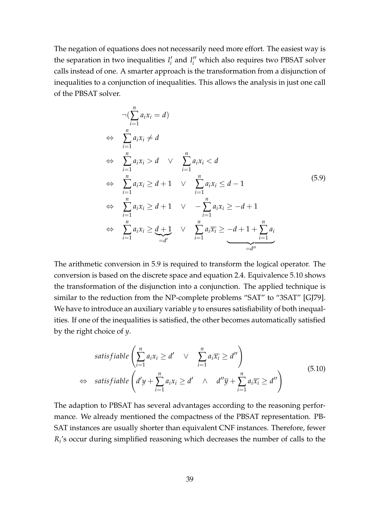The negation of equations does not necessarily need more effort. The easiest way is the separation in two inequalities  $I_i'$  $I_i'$  and  $I_i''$  which also requires two PBSAT solver calls instead of one. A smarter approach is the transformation from a disjunction of inequalities to a conjunction of inequalities. This allows the analysis in just one call of the PBSAT solver.

<span id="page-38-0"></span>
$$
\neg (\sum_{i=1}^{n} a_i x_i = d)
$$
\n
$$
\Leftrightarrow \sum_{i=1}^{n} a_i x_i \neq d
$$
\n
$$
\Leftrightarrow \sum_{i=1}^{n} a_i x_i > d \quad \lor \quad \sum_{i=1}^{n} a_i x_i < d
$$
\n
$$
\Leftrightarrow \sum_{i=1}^{n} a_i x_i \geq d + 1 \quad \lor \quad \sum_{i=1}^{n} a_i x_i \leq d - 1
$$
\n
$$
\Leftrightarrow \sum_{i=1}^{n} a_i x_i \geq d + 1 \quad \lor \quad -\sum_{i=1}^{n} a_i x_i \geq -d + 1
$$
\n
$$
\Leftrightarrow \sum_{i=1}^{n} a_i x_i \geq \underbrace{d+1}_{=d'} \quad \lor \quad \sum_{i=1}^{n} a_i \overline{x_i} \geq -d + 1 + \sum_{i=1}^{n} a_i
$$
\n
$$
\frac{1}{\overline{d''}}
$$
\n(5.9)

The arithmetic conversion in [5.9](#page-38-0) is required to transform the logical operator. The conversion is based on the discrete space and equation [2.4.](#page-11-2) Equivalence [5.10](#page-38-1) shows the transformation of the disjunction into a conjunction. The applied technique is similar to the reduction from the NP-complete problems "SAT" to "3SAT" [\[GJ79\]](#page-51-8). We have to introduce an auxiliary variable *y* to ensures satisfiability of both inequalities. If one of the inequalities is satisfied, the other becomes automatically satisfied by the right choice of *y*.

<span id="page-38-1"></span>
$$
\begin{aligned}\n\text{satisfiable } & \left( \sum_{i=1}^{n} a_i x_i \ge d' & \vee & \sum_{i=1}^{n} a_i \overline{x_i} \ge d'' \right) \\
& \Leftrightarrow \quad \text{satisfiable } \left( d'y + \sum_{i=1}^{n} a_i x_i \ge d' & \wedge & d''\overline{y} + \sum_{i=1}^{n} a_i \overline{x_i} \ge d'' \right)\n\end{aligned} \tag{5.10}
$$

The adaption to PBSAT has several advantages according to the reasoning performance. We already mentioned the compactness of the PBSAT representation. PB-SAT instances are usually shorter than equivalent CNF instances. Therefore, fewer *Ri* 's occur during simplified reasoning which decreases the number of calls to the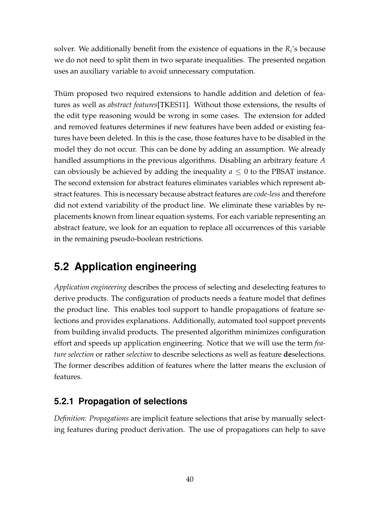solver. We additionally benefit from the existence of equations in the  $R_i$ 's because we do not need to split them in two separate inequalities. The presented negation uses an auxiliary variable to avoid unnecessary computation.

Thüm proposed two required extensions to handle addition and deletion of features as well as *abstract features*[\[TKES11\]](#page-52-3). Without those extensions, the results of the edit type reasoning would be wrong in some cases. The extension for added and removed features determines if new features have been added or existing features have been deleted. In this is the case, those features have to be disabled in the model they do not occur. This can be done by adding an assumption. We already handled assumptions in the previous algorithms. Disabling an arbitrary feature *A* can obviously be achieved by adding the inequality  $a \leq 0$  to the PBSAT instance. The second extension for abstract features eliminates variables which represent abstract features. This is necessary because abstract features are *code-less* and therefore did not extend variability of the product line. We eliminate these variables by replacements known from linear equation systems. For each variable representing an abstract feature, we look for an equation to replace all occurrences of this variable in the remaining pseudo-boolean restrictions.

### <span id="page-39-0"></span>**5.2 Application engineering**

*Application engineering* describes the process of selecting and deselecting features to derive products. The configuration of products needs a feature model that defines the product line. This enables tool support to handle propagations of feature selections and provides explanations. Additionally, automated tool support prevents from building invalid products. The presented algorithm minimizes configuration effort and speeds up application engineering. Notice that we will use the term *feature selection* or rather *selection* to describe selections as well as feature **de**selections. The former describes addition of features where the latter means the exclusion of features.

#### <span id="page-39-1"></span>**5.2.1 Propagation of selections**

*Definition: Propagations* are implicit feature selections that arise by manually selecting features during product derivation. The use of propagations can help to save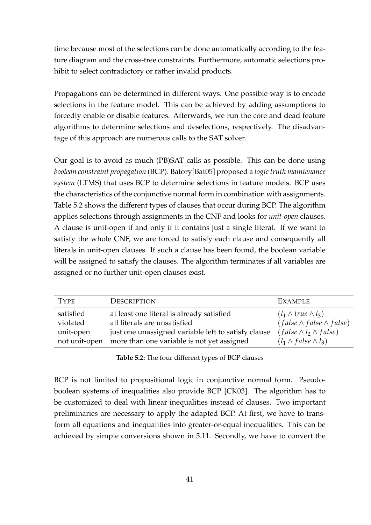time because most of the selections can be done automatically according to the feature diagram and the cross-tree constraints. Furthermore, automatic selections prohibit to select contradictory or rather invalid products.

Propagations can be determined in different ways. One possible way is to encode selections in the feature model. This can be achieved by adding assumptions to forcedly enable or disable features. Afterwards, we run the core and dead feature algorithms to determine selections and deselections, respectively. The disadvantage of this approach are numerous calls to the SAT solver.

Our goal is to avoid as much (PB)SAT calls as possible. This can be done using *boolean constraint propagation* (BCP). Batory[\[Bat05\]](#page-50-1) proposed a *logic truth maintenance system* (LTMS) that uses BCP to determine selections in feature models. BCP uses the characteristics of the conjunctive normal form in combination with assignments. Table [5.2](#page-40-0) shows the different types of clauses that occur during BCP. The algorithm applies selections through assignments in the CNF and looks for *unit-open* clauses. A clause is unit-open if and only if it contains just a single literal. If we want to satisfy the whole CNF, we are forced to satisfy each clause and consequently all literals in unit-open clauses. If such a clause has been found, the boolean variable will be assigned to satisfy the clauses. The algorithm terminates if all variables are assigned or no further unit-open clauses exist.

<span id="page-40-0"></span>

| <b>TYPE</b>                        | <b>DESCRIPTION</b>                                                                                                                                                                           | <b>EXAMPLE</b>                                                                                                                                |
|------------------------------------|----------------------------------------------------------------------------------------------------------------------------------------------------------------------------------------------|-----------------------------------------------------------------------------------------------------------------------------------------------|
| satisfied<br>violated<br>unit-open | at least one literal is already satisfied<br>all literals are unsatisfied<br>just one unassigned variable left to satisfy clause<br>not unit-open more than one variable is not yet assigned | $(l_1 \wedge true \wedge l_3)$<br>$(false \wedge false \wedge false)$<br>$(false \wedge l_2 \wedge false)$<br>$(l_1 \wedge false \wedge l_3)$ |

**Table 5.2:** The four different types of BCP clauses

BCP is not limited to propositional logic in conjunctive normal form. Pseudoboolean systems of inequalities also provide BCP [\[CK03\]](#page-51-2). The algorithm has to be customized to deal with linear inequalities instead of clauses. Two important preliminaries are necessary to apply the adapted BCP. At first, we have to transform all equations and inequalities into greater-or-equal inequalities. This can be achieved by simple conversions shown in [5.11.](#page-41-1) Secondly, we have to convert the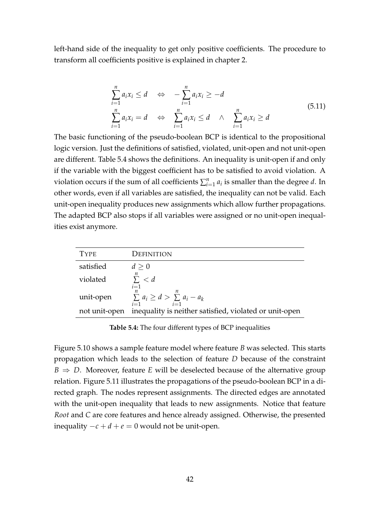left-hand side of the inequality to get only positive coefficients. The procedure to transform all coefficients positive is explained in chapter [2.](#page-9-0)

<span id="page-41-1"></span>
$$
\sum_{i=1}^{n} a_i x_i \le d \quad \Leftrightarrow \quad -\sum_{i=1}^{n} a_i x_i \ge -d
$$
\n
$$
\sum_{i=1}^{n} a_i x_i = d \quad \Leftrightarrow \quad \sum_{i=1}^{n} a_i x_i \le d \quad \wedge \quad \sum_{i=1}^{n} a_i x_i \ge d
$$
\n(5.11)

The basic functioning of the pseudo-boolean BCP is identical to the propositional logic version. Just the definitions of satisfied, violated, unit-open and not unit-open are different. Table [5.4](#page-41-0) shows the definitions. An inequality is unit-open if and only if the variable with the biggest coefficient has to be satisfied to avoid violation. A violation occurs if the sum of all coefficients  $\sum_{i=1}^{n} a_i$  is smaller than the degree *d*. In other words, even if all variables are satisfied, the inequality can not be valid. Each unit-open inequality produces new assignments which allow further propagations. The adapted BCP also stops if all variables were assigned or no unit-open inequalities exist anymore.

<span id="page-41-0"></span>

| <b>TYPE</b>   | Definition                                                               |
|---------------|--------------------------------------------------------------------------|
| satisfied     | d > 0                                                                    |
| violated      | n<br>$\sum$ < d                                                          |
| unit-open     | $i=1$<br>n<br>$\sum a_i \geq d > \sum a_i - a_k$                         |
| not unit-open | $i=1$<br>$i=1$<br>inequality is neither satisfied, violated or unit-open |

**Table 5.4:** The four different types of BCP inequalities

Figure [5.10](#page-42-0) shows a sample feature model where feature *B* was selected. This starts propagation which leads to the selection of feature *D* because of the constraint  $B \Rightarrow D$ . Moreover, feature *E* will be deselected because of the alternative group relation. Figure [5.11](#page-42-1) illustrates the propagations of the pseudo-boolean BCP in a directed graph. The nodes represent assignments. The directed edges are annotated with the unit-open inequality that leads to new assignments. Notice that feature *Root* and *C* are core features and hence already assigned. Otherwise, the presented inequality  $-c + d + e = 0$  would not be unit-open.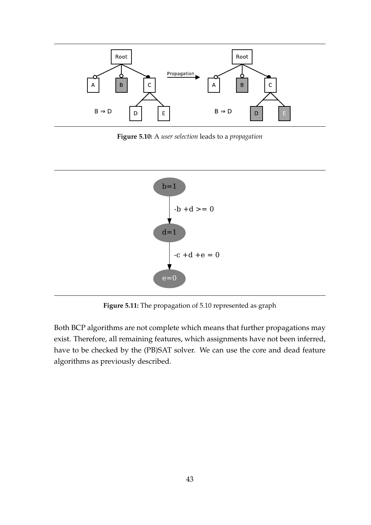<span id="page-42-0"></span>

**Figure 5.10:** A *user selection* leads to a *propagation*

<span id="page-42-1"></span>

**Figure 5.11:** The propagation of [5.10](#page-42-0) represented as graph

Both BCP algorithms are not complete which means that further propagations may exist. Therefore, all remaining features, which assignments have not been inferred, have to be checked by the (PB)SAT solver. We can use the core and dead feature algorithms as previously described.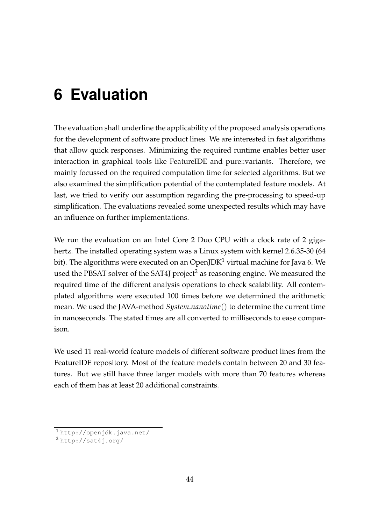## <span id="page-43-0"></span>**6 Evaluation**

The evaluation shall underline the applicability of the proposed analysis operations for the development of software product lines. We are interested in fast algorithms that allow quick responses. Minimizing the required runtime enables better user interaction in graphical tools like FeatureIDE and pure::variants. Therefore, we mainly focussed on the required computation time for selected algorithms. But we also examined the simplification potential of the contemplated feature models. At last, we tried to verify our assumption regarding the pre-processing to speed-up simplification. The evaluations revealed some unexpected results which may have an influence on further implementations.

We run the evaluation on an Intel Core 2 Duo CPU with a clock rate of 2 gigahertz. The installed operating system was a Linux system with kernel 2.6.35-30 (64 bit). The algorithms were executed on an OpenJDK<sup>[1](#page-43-1)</sup> virtual machine for Java 6. We used the PBSAT solver of the SAT4J project<sup>[2](#page-43-2)</sup> as reasoning engine. We measured the required time of the different analysis operations to check scalability. All contemplated algorithms were executed 100 times before we determined the arithmetic mean. We used the JAVA-method *System*.*nanotime*() to determine the current time in nanoseconds. The stated times are all converted to milliseconds to ease comparison.

We used 11 real-world feature models of different software product lines from the FeatureIDE repository. Most of the feature models contain between 20 and 30 features. But we still have three larger models with more than 70 features whereas each of them has at least 20 additional constraints.

<span id="page-43-1"></span><sup>1</sup> <http://openjdk.java.net/>

<span id="page-43-2"></span><sup>2</sup> <http://sat4j.org/>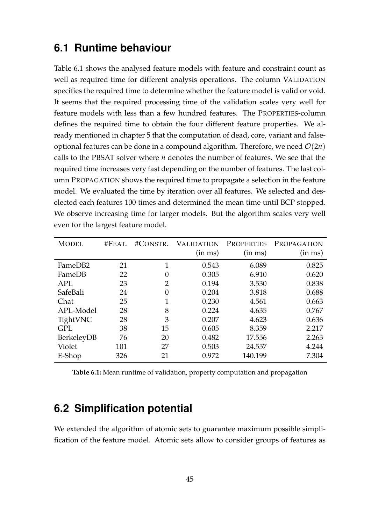### <span id="page-44-0"></span>**6.1 Runtime behaviour**

Table [6.1](#page-44-2) shows the analysed feature models with feature and constraint count as well as required time for different analysis operations. The column VALIDATION specifies the required time to determine whether the feature model is valid or void. It seems that the required processing time of the validation scales very well for feature models with less than a few hundred features. The PROPERTIES-column defines the required time to obtain the four different feature properties. We already mentioned in chapter [5](#page-25-0) that the computation of dead, core, variant and falseoptional features can be done in a compound algorithm. Therefore, we need  $\mathcal{O}(2n)$ calls to the PBSAT solver where *n* denotes the number of features. We see that the required time increases very fast depending on the number of features. The last column PROPAGATION shows the required time to propagate a selection in the feature model. We evaluated the time by iteration over all features. We selected and deselected each features 100 times and determined the mean time until BCP stopped. We observe increasing time for larger models. But the algorithm scales very well even for the largest feature model.

<span id="page-44-2"></span>

| <b>MODEL</b> | #FEAT. | #CONSTR.       | <b>VALIDATION</b><br>(in ms) | <b>PROPERTIES</b><br>(in ms) | PROPAGATION<br>(in ms) |
|--------------|--------|----------------|------------------------------|------------------------------|------------------------|
| FameDB2      | 21     |                | 0.543                        | 6.089                        | 0.825                  |
| FameDB       | 22     | $\theta$       | 0.305                        | 6.910                        | 0.620                  |
| <b>APL</b>   | 23     | $\overline{2}$ | 0.194                        | 3.530                        | 0.838                  |
| SafeBali     | 24     | 0              | 0.204                        | 3.818                        | 0.688                  |
| Chat         | 25     | 1              | 0.230                        | 4.561                        | 0.663                  |
| APL-Model    | 28     | 8              | 0.224                        | 4.635                        | 0.767                  |
| TightVNC     | 28     | 3              | 0.207                        | 4.623                        | 0.636                  |
| <b>GPL</b>   | 38     | 15             | 0.605                        | 8.359                        | 2.217                  |
| BerkeleyDB   | 76     | 20             | 0.482                        | 17.556                       | 2.263                  |
| Violet       | 101    | 27             | 0.503                        | 24.557                       | 4.244                  |
| E-Shop       | 326    | 21             | 0.972                        | 140.199                      | 7.304                  |

**Table 6.1:** Mean runtime of validation, property computation and propagation

### <span id="page-44-1"></span>**6.2 Simplification potential**

We extended the algorithm of atomic sets to guarantee maximum possible simplification of the feature model. Atomic sets allow to consider groups of features as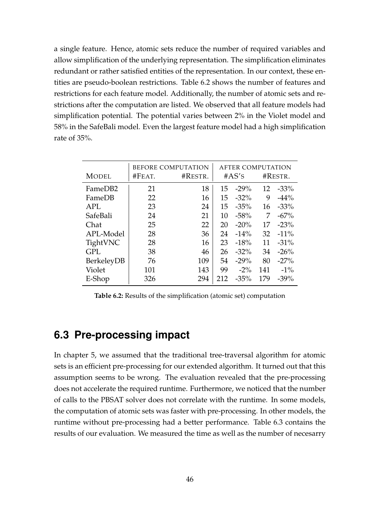a single feature. Hence, atomic sets reduce the number of required variables and allow simplification of the underlying representation. The simplification eliminates redundant or rather satisfied entities of the representation. In our context, these entities are pseudo-boolean restrictions. Table [6.2](#page-45-1) shows the number of features and restrictions for each feature model. Additionally, the number of atomic sets and restrictions after the computation are listed. We observed that all feature models had simplification potential. The potential varies between 2% in the Violet model and 58% in the SafeBali model. Even the largest feature model had a high simplification rate of 35%.

<span id="page-45-1"></span>

|              | <b>BEFORE COMPUTATION</b> | <b>AFTER COMPUTATION</b> |       |         |         |         |
|--------------|---------------------------|--------------------------|-------|---------|---------|---------|
| <b>MODEL</b> | #FEAT.                    | #RESTR.                  | #AS's |         | #RESTR. |         |
| FameDB2      | 21                        | 18                       | 15    | $-29%$  | 12      | $-33%$  |
| FameDB       | 22                        | 16                       | 15    | $-32%$  | 9       | $-44%$  |
| <b>APL</b>   | 23                        | 24                       | 15    | $-35%$  | 16      | $-33%$  |
| SafeBali     | 24                        | 21                       | 10    | $-58%$  | 7       | $-67%$  |
| Chat         | 25                        | 22                       | 20    | $-20%$  | 17      | $-23%$  |
| APL-Model    | 28                        | 36                       | 24    | $-14%$  | 32      | $-11\%$ |
| TightVNC     | 28                        | 16                       | 23    | $-18%$  | 11      | $-31\%$ |
| <b>GPL</b>   | 38                        | 46                       | 26    | $-32\%$ | 34      | $-26%$  |
| BerkeleyDB   | 76                        | 109                      | 54    | $-29%$  | 80      | $-27%$  |
| Violet       | 101                       | 143                      | 99    | $-2\%$  | 141     | $-1\%$  |
| E-Shop       | 326                       | 294                      | 212   | $-35%$  | 179     | $-39\%$ |

**Table 6.2:** Results of the simplification (atomic set) computation

### <span id="page-45-0"></span>**6.3 Pre-processing impact**

In chapter [5,](#page-25-0) we assumed that the traditional tree-traversal algorithm for atomic sets is an efficient pre-processing for our extended algorithm. It turned out that this assumption seems to be wrong. The evaluation revealed that the pre-processing does not accelerate the required runtime. Furthermore, we noticed that the number of calls to the PBSAT solver does not correlate with the runtime. In some models, the computation of atomic sets was faster with pre-processing. In other models, the runtime without pre-processing had a better performance. Table [6.3](#page-46-0) contains the results of our evaluation. We measured the time as well as the number of necesarry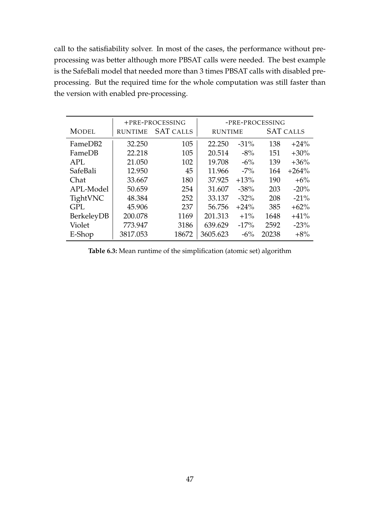call to the satisfiability solver. In most of the cases, the performance without preprocessing was better although more PBSAT calls were needed. The best example is the SafeBali model that needed more than 3 times PBSAT calls with disabled preprocessing. But the required time for the whole computation was still faster than the version with enabled pre-processing.

<span id="page-46-0"></span>

|              |                | +PRE-PROCESSING  | -PRE-PROCESSING |         |                  |         |
|--------------|----------------|------------------|-----------------|---------|------------------|---------|
| <b>MODEL</b> | <b>RUNTIME</b> | <b>SAT CALLS</b> | <b>RUNTIME</b>  |         | <b>SAT CALLS</b> |         |
| FameDB2      | 32.250         | 105              | 22.250          | $-31%$  | 138              | $+24%$  |
| FameDB       | 22.218         | 105              | 20.514          | $-8\%$  | 151              | $+30%$  |
| <b>APL</b>   | 21.050         | 102              | 19.708          | $-6\%$  | 139              | $+36%$  |
| SafeBali     | 12.950         | 45               | 11.966          | $-7\%$  | 164              | $+264%$ |
| Chat         | 33.667         | 180              | 37.925          | $+13%$  | 190              | $+6%$   |
| APL-Model    | 50.659         | 254              | 31.607          | $-38%$  | 203              | $-20%$  |
| TightVNC     | 48.384         | 252              | 33.137          | $-32\%$ | 208              | $-21%$  |
| <b>GPL</b>   | 45.906         | 237              | 56.756          | $+24%$  | 385              | $+62%$  |
| BerkeleyDB   | 200.078        | 1169             | 201.313         | $+1\%$  | 1648             | $+41%$  |
| Violet       | 773.947        | 3186             | 639.629         | $-17%$  | 2592             | $-23%$  |
| E-Shop       | 3817.053       | 18672            | 3605.623        | $-6\%$  | 20238            | $+8%$   |

**Table 6.3:** Mean runtime of the simplification (atomic set) algorithm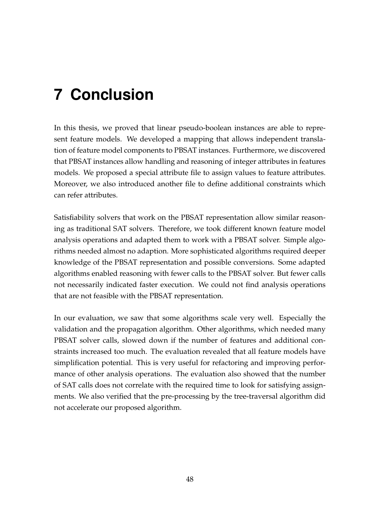# <span id="page-47-0"></span>**7 Conclusion**

In this thesis, we proved that linear pseudo-boolean instances are able to represent feature models. We developed a mapping that allows independent translation of feature model components to PBSAT instances. Furthermore, we discovered that PBSAT instances allow handling and reasoning of integer attributes in features models. We proposed a special attribute file to assign values to feature attributes. Moreover, we also introduced another file to define additional constraints which can refer attributes.

Satisfiability solvers that work on the PBSAT representation allow similar reasoning as traditional SAT solvers. Therefore, we took different known feature model analysis operations and adapted them to work with a PBSAT solver. Simple algorithms needed almost no adaption. More sophisticated algorithms required deeper knowledge of the PBSAT representation and possible conversions. Some adapted algorithms enabled reasoning with fewer calls to the PBSAT solver. But fewer calls not necessarily indicated faster execution. We could not find analysis operations that are not feasible with the PBSAT representation.

In our evaluation, we saw that some algorithms scale very well. Especially the validation and the propagation algorithm. Other algorithms, which needed many PBSAT solver calls, slowed down if the number of features and additional constraints increased too much. The evaluation revealed that all feature models have simplification potential. This is very useful for refactoring and improving performance of other analysis operations. The evaluation also showed that the number of SAT calls does not correlate with the required time to look for satisfying assignments. We also verified that the pre-processing by the tree-traversal algorithm did not accelerate our proposed algorithm.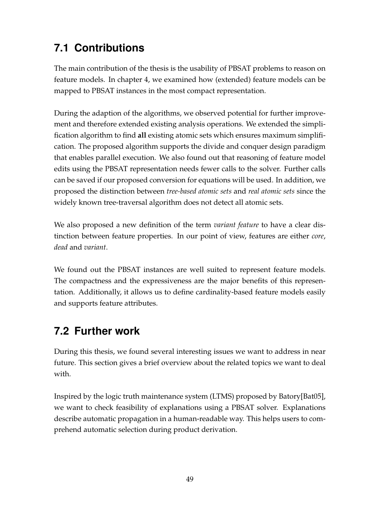## <span id="page-48-0"></span>**7.1 Contributions**

The main contribution of the thesis is the usability of PBSAT problems to reason on feature models. In chapter [4,](#page-20-0) we examined how (extended) feature models can be mapped to PBSAT instances in the most compact representation.

During the adaption of the algorithms, we observed potential for further improvement and therefore extended existing analysis operations. We extended the simplification algorithm to find **all** existing atomic sets which ensures maximum simplification. The proposed algorithm supports the divide and conquer design paradigm that enables parallel execution. We also found out that reasoning of feature model edits using the PBSAT representation needs fewer calls to the solver. Further calls can be saved if our proposed conversion for equations will be used. In addition, we proposed the distinction between *tree-based atomic sets* and *real atomic sets* since the widely known tree-traversal algorithm does not detect all atomic sets.

We also proposed a new definition of the term *variant feature* to have a clear distinction between feature properties. In our point of view, features are either *core*, *dead* and *variant*.

We found out the PBSAT instances are well suited to represent feature models. The compactness and the expressiveness are the major benefits of this representation. Additionally, it allows us to define cardinality-based feature models easily and supports feature attributes.

## <span id="page-48-1"></span>**7.2 Further work**

During this thesis, we found several interesting issues we want to address in near future. This section gives a brief overview about the related topics we want to deal with.

Inspired by the logic truth maintenance system (LTMS) proposed by Batory[\[Bat05\]](#page-50-1), we want to check feasibility of explanations using a PBSAT solver. Explanations describe automatic propagation in a human-readable way. This helps users to comprehend automatic selection during product derivation.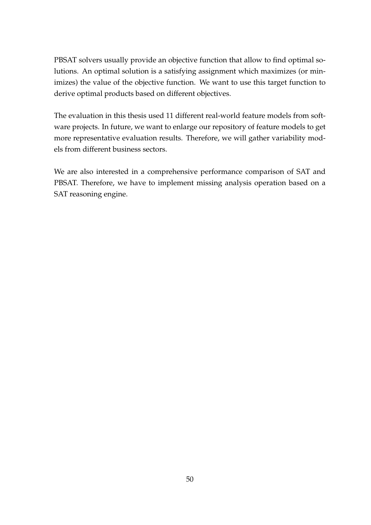PBSAT solvers usually provide an objective function that allow to find optimal solutions. An optimal solution is a satisfying assignment which maximizes (or minimizes) the value of the objective function. We want to use this target function to derive optimal products based on different objectives.

The evaluation in this thesis used 11 different real-world feature models from software projects. In future, we want to enlarge our repository of feature models to get more representative evaluation results. Therefore, we will gather variability models from different business sectors.

We are also interested in a comprehensive performance comparison of SAT and PBSAT. Therefore, we have to implement missing analysis operation based on a SAT reasoning engine.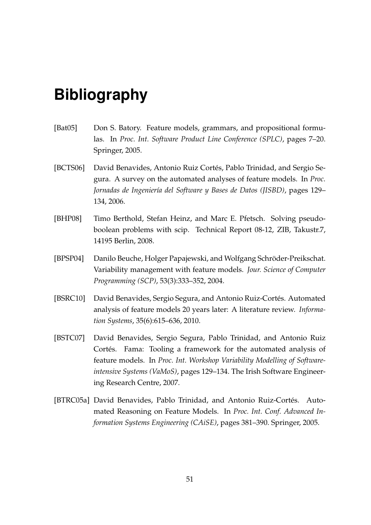## <span id="page-50-0"></span>**Bibliography**

- <span id="page-50-1"></span>[Bat05] Don S. Batory. Feature models, grammars, and propositional formulas. In *Proc. Int. Software Product Line Conference (SPLC)*, pages 7–20. Springer, 2005.
- <span id="page-50-5"></span>[BCTS06] David Benavides, Antonio Ruiz Cortés, Pablo Trinidad, and Sergio Segura. A survey on the automated analyses of feature models. In *Proc. Jornadas de Ingeniería del Software y Bases de Datos (JISBD)*, pages 129– 134, 2006.
- <span id="page-50-3"></span>[BHP08] Timo Berthold, Stefan Heinz, and Marc E. Pfetsch. Solving pseudoboolean problems with scip. Technical Report 08-12, ZIB, Takustr.7, 14195 Berlin, 2008.
- <span id="page-50-6"></span>[BPSP04] Danilo Beuche, Holger Papajewski, and Wolfgang Schröder-Preikschat. Variability management with feature models. *Jour. Science of Computer Programming (SCP)*, 53(3):333–352, 2004.
- <span id="page-50-2"></span>[BSRC10] David Benavides, Sergio Segura, and Antonio Ruiz-Cortés. Automated analysis of feature models 20 years later: A literature review. *Information Systems*, 35(6):615–636, 2010.
- <span id="page-50-7"></span>[BSTC07] David Benavides, Sergio Segura, Pablo Trinidad, and Antonio Ruiz Cortés. Fama: Tooling a framework for the automated analysis of feature models. In *Proc. Int. Workshop Variability Modelling of Softwareintensive Systems (VaMoS)*, pages 129–134. The Irish Software Engineering Research Centre, 2007.
- <span id="page-50-4"></span>[BTRC05a] David Benavides, Pablo Trinidad, and Antonio Ruiz-Cortés. Automated Reasoning on Feature Models. In *Proc. Int. Conf. Advanced Information Systems Engineering (CAiSE)*, pages 381–390. Springer, 2005.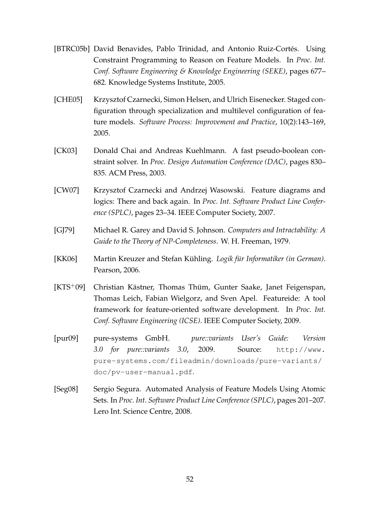- <span id="page-51-0"></span>[BTRC05b] David Benavides, Pablo Trinidad, and Antonio Ruiz-Cortés. Using Constraint Programming to Reason on Feature Models. In *Proc. Int. Conf. Software Engineering & Knowledge Engineering (SEKE)*, pages 677– 682. Knowledge Systems Institute, 2005.
- <span id="page-51-6"></span>[CHE05] Krzysztof Czarnecki, Simon Helsen, and Ulrich Eisenecker. Staged configuration through specialization and multilevel configuration of feature models. *Software Process: Improvement and Practice*, 10(2):143–169, 2005.
- <span id="page-51-2"></span>[CK03] Donald Chai and Andreas Kuehlmann. A fast pseudo-boolean constraint solver. In *Proc. Design Automation Conference (DAC)*, pages 830– 835. ACM Press, 2003.
- <span id="page-51-3"></span>[CW07] Krzysztof Czarnecki and Andrzej Wasowski. Feature diagrams and logics: There and back again. In *Proc. Int. Software Product Line Conference (SPLC)*, pages 23–34. IEEE Computer Society, 2007.
- <span id="page-51-8"></span>[GJ79] Michael R. Garey and David S. Johnson. *Computers and Intractability: A Guide to the Theory of NP-Completeness*. W. H. Freeman, 1979.
- <span id="page-51-1"></span>[KK06] Martin Kreuzer and Stefan Kühling. *Logik für Informatiker (in German)*. Pearson, 2006.
- <span id="page-51-5"></span>[KTS+09] Christian Kästner, Thomas Thüm, Gunter Saake, Janet Feigenspan, Thomas Leich, Fabian Wielgorz, and Sven Apel. Featureide: A tool framework for feature-oriented software development. In *Proc. Int. Conf. Software Engineering (ICSE)*. IEEE Computer Society, 2009.
- <span id="page-51-4"></span>[pur09] pure-systems GmbH. *pure::variants User's Guide: Version 3.0 for pure::variants 3.0*, 2009. Source: [http://www.](http://www.pure-systems.com/fileadmin/downloads/pure-variants/doc/pv-user-manual.pdf) [pure-systems.com/fileadmin/downloads/pure-variants/](http://www.pure-systems.com/fileadmin/downloads/pure-variants/doc/pv-user-manual.pdf) [doc/pv-user-manual.pdf](http://www.pure-systems.com/fileadmin/downloads/pure-variants/doc/pv-user-manual.pdf).
- <span id="page-51-7"></span>[Seg08] Sergio Segura. Automated Analysis of Feature Models Using Atomic Sets. In *Proc. Int. Software Product Line Conference (SPLC)*, pages 201–207. Lero Int. Science Centre, 2008.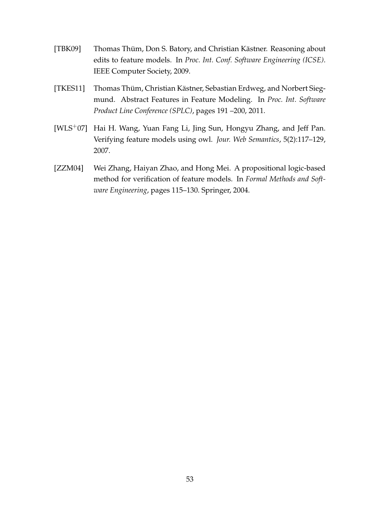- <span id="page-52-2"></span>[TBK09] Thomas Thüm, Don S. Batory, and Christian Kästner. Reasoning about edits to feature models. In *Proc. Int. Conf. Software Engineering (ICSE)*. IEEE Computer Society, 2009.
- <span id="page-52-3"></span>[TKES11] Thomas Thüm, Christian Kästner, Sebastian Erdweg, and Norbert Siegmund. Abstract Features in Feature Modeling. In *Proc. Int. Software Product Line Conference (SPLC)*, pages 191 –200, 2011.
- <span id="page-52-0"></span>[WLS+07] Hai H. Wang, Yuan Fang Li, Jing Sun, Hongyu Zhang, and Jeff Pan. Verifying feature models using owl. *Jour. Web Semantics*, 5(2):117–129, 2007.
- <span id="page-52-1"></span>[ZZM04] Wei Zhang, Haiyan Zhao, and Hong Mei. A propositional logic-based method for verification of feature models. In *Formal Methods and Software Engineering*, pages 115–130. Springer, 2004.